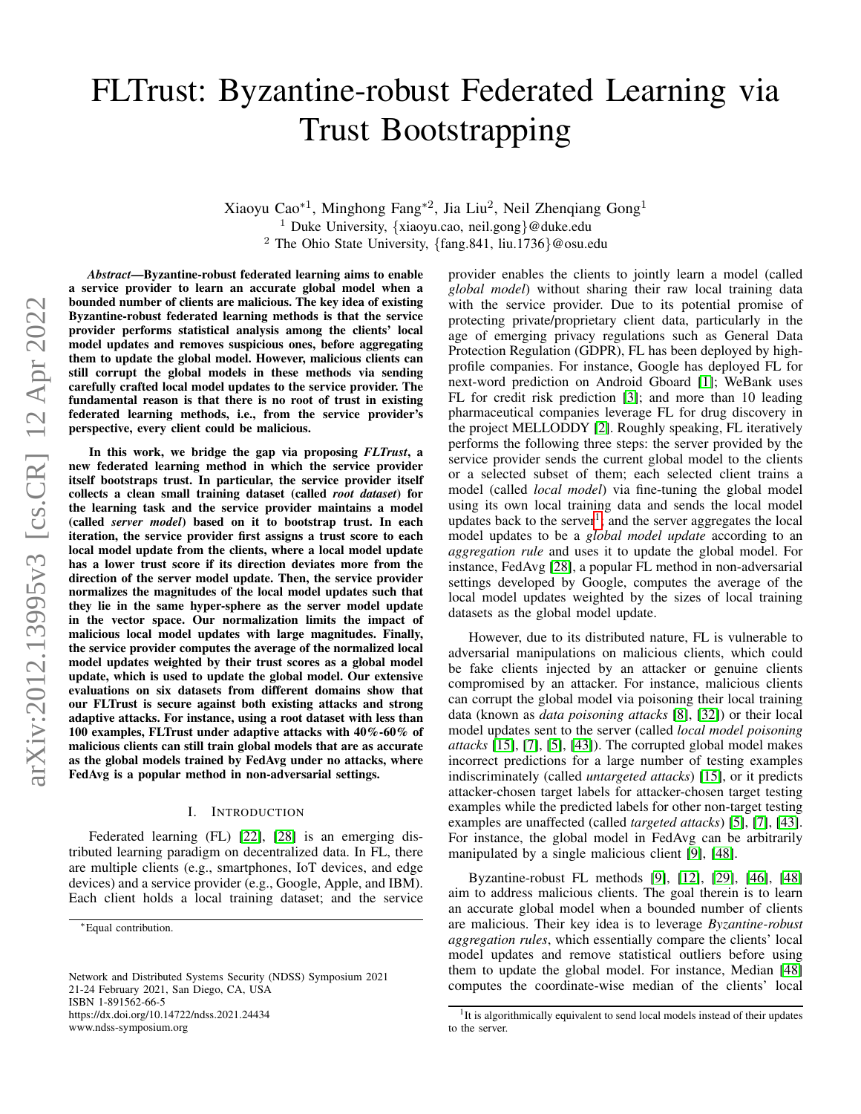# FLTrust: Byzantine-robust Federated Learning via Trust Bootstrapping

Xiaoyu Cao<sup>∗1</sup>, Minghong Fang<sup>∗2</sup>, Jia Liu<sup>2</sup>, Neil Zhenqiang Gong<sup>1</sup> <sup>1</sup> Duke University, {xiaoyu.cao, neil.gong}@duke.edu <sup>2</sup> The Ohio State University, {fang.841, liu.1736}@osu.edu

*Abstract*—Byzantine-robust federated learning aims to enable a service provider to learn an accurate global model when a bounded number of clients are malicious. The key idea of existing Byzantine-robust federated learning methods is that the service provider performs statistical analysis among the clients' local model updates and removes suspicious ones, before aggregating them to update the global model. However, malicious clients can still corrupt the global models in these methods via sending carefully crafted local model updates to the service provider. The fundamental reason is that there is no root of trust in existing federated learning methods, i.e., from the service provider's perspective, every client could be malicious.

In this work, we bridge the gap via proposing *FLTrust*, a new federated learning method in which the service provider itself bootstraps trust. In particular, the service provider itself collects a clean small training dataset (called *root dataset*) for the learning task and the service provider maintains a model (called *server model*) based on it to bootstrap trust. In each iteration, the service provider first assigns a trust score to each local model update from the clients, where a local model update has a lower trust score if its direction deviates more from the direction of the server model update. Then, the service provider normalizes the magnitudes of the local model updates such that they lie in the same hyper-sphere as the server model update in the vector space. Our normalization limits the impact of malicious local model updates with large magnitudes. Finally, the service provider computes the average of the normalized local model updates weighted by their trust scores as a global model update, which is used to update the global model. Our extensive evaluations on six datasets from different domains show that our FLTrust is secure against both existing attacks and strong adaptive attacks. For instance, using a root dataset with less than 100 examples, FLTrust under adaptive attacks with 40%-60% of malicious clients can still train global models that are as accurate as the global models trained by FedAvg under no attacks, where FedAvg is a popular method in non-adversarial settings.

### I. INTRODUCTION

Federated learning (FL) [\[22\]](#page-14-0), [\[28\]](#page-14-1) is an emerging distributed learning paradigm on decentralized data. In FL, there are multiple clients (e.g., smartphones, IoT devices, and edge devices) and a service provider (e.g., Google, Apple, and IBM). Each client holds a local training dataset; and the service

Network and Distributed Systems Security (NDSS) Symposium 2021 21-24 February 2021, San Diego, CA, USA ISBN 1-891562-66-5 https://dx.doi.org/10.14722/ndss.2021.24434 www.ndss-symposium.org

provider enables the clients to jointly learn a model (called *global model*) without sharing their raw local training data with the service provider. Due to its potential promise of protecting private/proprietary client data, particularly in the age of emerging privacy regulations such as General Data Protection Regulation (GDPR), FL has been deployed by highprofile companies. For instance, Google has deployed FL for next-word prediction on Android Gboard [\[1\]](#page-14-2); WeBank uses FL for credit risk prediction [\[3\]](#page-14-3); and more than 10 leading pharmaceutical companies leverage FL for drug discovery in the project MELLODDY [\[2\]](#page-14-4). Roughly speaking, FL iteratively performs the following three steps: the server provided by the service provider sends the current global model to the clients or a selected subset of them; each selected client trains a model (called *local model*) via fine-tuning the global model using its own local training data and sends the local model updates back to the server<sup>[1](#page-0-0)</sup>; and the server aggregates the local model updates to be a *global model update* according to an *aggregation rule* and uses it to update the global model. For instance, FedAvg [\[28\]](#page-14-1), a popular FL method in non-adversarial settings developed by Google, computes the average of the local model updates weighted by the sizes of local training datasets as the global model update.

However, due to its distributed nature, FL is vulnerable to adversarial manipulations on malicious clients, which could be fake clients injected by an attacker or genuine clients compromised by an attacker. For instance, malicious clients can corrupt the global model via poisoning their local training data (known as *data poisoning attacks* [\[8\]](#page-14-5), [\[32\]](#page-14-6)) or their local model updates sent to the server (called *local model poisoning attacks* [\[15\]](#page-14-7), [\[7\]](#page-14-8), [\[5\]](#page-14-9), [\[43\]](#page-15-0)). The corrupted global model makes incorrect predictions for a large number of testing examples indiscriminately (called *untargeted attacks*) [\[15\]](#page-14-7), or it predicts attacker-chosen target labels for attacker-chosen target testing examples while the predicted labels for other non-target testing examples are unaffected (called *targeted attacks*) [\[5\]](#page-14-9), [\[7\]](#page-14-8), [\[43\]](#page-15-0). For instance, the global model in FedAvg can be arbitrarily manipulated by a single malicious client [\[9\]](#page-14-10), [\[48\]](#page-15-1).

Byzantine-robust FL methods [\[9\]](#page-14-10), [\[12\]](#page-14-11), [\[29\]](#page-14-12), [\[46\]](#page-15-2), [\[48\]](#page-15-1) aim to address malicious clients. The goal therein is to learn an accurate global model when a bounded number of clients are malicious. Their key idea is to leverage *Byzantine-robust aggregation rules*, which essentially compare the clients' local model updates and remove statistical outliers before using them to update the global model. For instance, Median [\[48\]](#page-15-1) computes the coordinate-wise median of the clients' local

<sup>∗</sup>Equal contribution.

<span id="page-0-0"></span><sup>&</sup>lt;sup>1</sup>It is algorithmically equivalent to send local models instead of their updates to the server.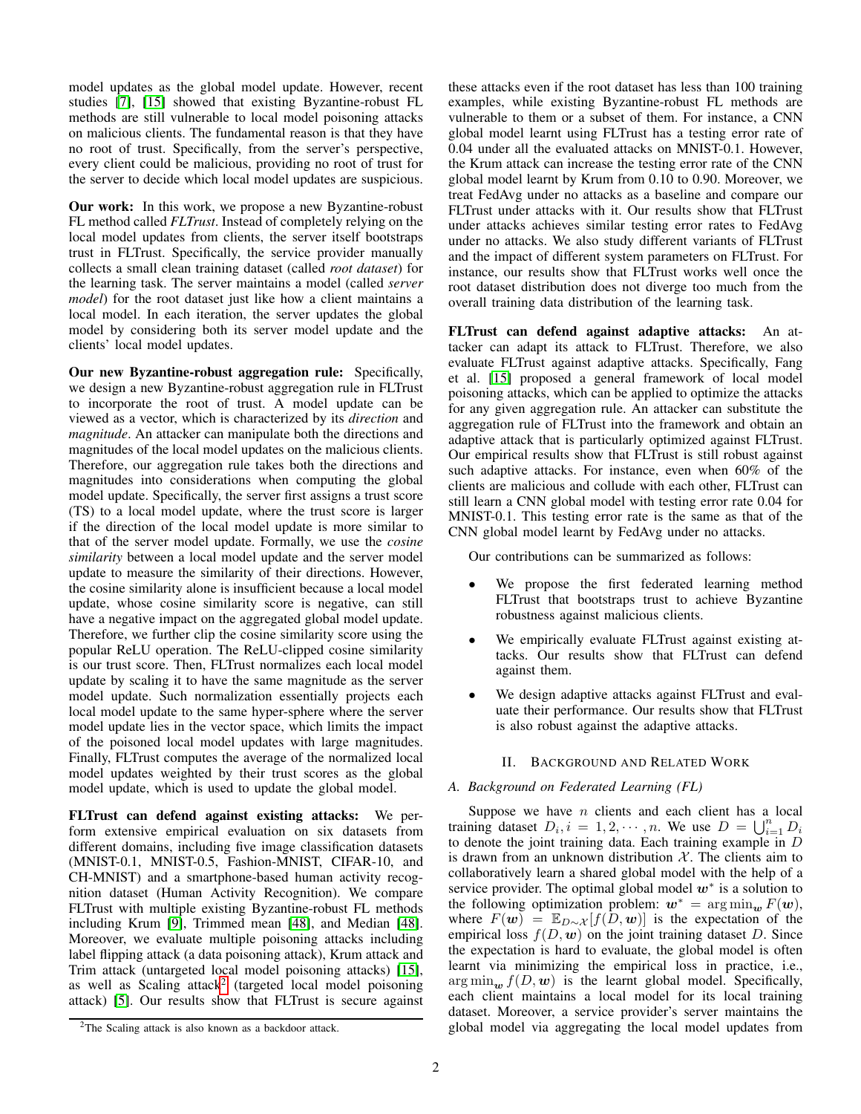model updates as the global model update. However, recent studies [\[7\]](#page-14-8), [\[15\]](#page-14-7) showed that existing Byzantine-robust FL methods are still vulnerable to local model poisoning attacks on malicious clients. The fundamental reason is that they have no root of trust. Specifically, from the server's perspective, every client could be malicious, providing no root of trust for the server to decide which local model updates are suspicious.

Our work: In this work, we propose a new Byzantine-robust FL method called *FLTrust*. Instead of completely relying on the local model updates from clients, the server itself bootstraps trust in FLTrust. Specifically, the service provider manually collects a small clean training dataset (called *root dataset*) for the learning task. The server maintains a model (called *server model*) for the root dataset just like how a client maintains a local model. In each iteration, the server updates the global model by considering both its server model update and the clients' local model updates.

Our new Byzantine-robust aggregation rule: Specifically, we design a new Byzantine-robust aggregation rule in FLTrust to incorporate the root of trust. A model update can be viewed as a vector, which is characterized by its *direction* and *magnitude*. An attacker can manipulate both the directions and magnitudes of the local model updates on the malicious clients. Therefore, our aggregation rule takes both the directions and magnitudes into considerations when computing the global model update. Specifically, the server first assigns a trust score (TS) to a local model update, where the trust score is larger if the direction of the local model update is more similar to that of the server model update. Formally, we use the *cosine similarity* between a local model update and the server model update to measure the similarity of their directions. However, the cosine similarity alone is insufficient because a local model update, whose cosine similarity score is negative, can still have a negative impact on the aggregated global model update. Therefore, we further clip the cosine similarity score using the popular ReLU operation. The ReLU-clipped cosine similarity is our trust score. Then, FLTrust normalizes each local model update by scaling it to have the same magnitude as the server model update. Such normalization essentially projects each local model update to the same hyper-sphere where the server model update lies in the vector space, which limits the impact of the poisoned local model updates with large magnitudes. Finally, FLTrust computes the average of the normalized local model updates weighted by their trust scores as the global model update, which is used to update the global model.

FLTrust can defend against existing attacks: We perform extensive empirical evaluation on six datasets from different domains, including five image classification datasets (MNIST-0.1, MNIST-0.5, Fashion-MNIST, CIFAR-10, and CH-MNIST) and a smartphone-based human activity recognition dataset (Human Activity Recognition). We compare FLTrust with multiple existing Byzantine-robust FL methods including Krum [\[9\]](#page-14-10), Trimmed mean [\[48\]](#page-15-1), and Median [\[48\]](#page-15-1). Moreover, we evaluate multiple poisoning attacks including label flipping attack (a data poisoning attack), Krum attack and Trim attack (untargeted local model poisoning attacks) [\[15\]](#page-14-7), as well as Scaling attack<sup>[2](#page-1-0)</sup> (targeted local model poisoning attack) [\[5\]](#page-14-9). Our results show that FLTrust is secure against

<span id="page-1-0"></span><sup>2</sup>The Scaling attack is also known as a backdoor attack.

these attacks even if the root dataset has less than 100 training examples, while existing Byzantine-robust FL methods are vulnerable to them or a subset of them. For instance, a CNN global model learnt using FLTrust has a testing error rate of 0.04 under all the evaluated attacks on MNIST-0.1. However, the Krum attack can increase the testing error rate of the CNN global model learnt by Krum from 0.10 to 0.90. Moreover, we treat FedAvg under no attacks as a baseline and compare our FLTrust under attacks with it. Our results show that FLTrust under attacks achieves similar testing error rates to FedAvg under no attacks. We also study different variants of FLTrust and the impact of different system parameters on FLTrust. For instance, our results show that FLTrust works well once the root dataset distribution does not diverge too much from the overall training data distribution of the learning task.

FLTrust can defend against adaptive attacks: An attacker can adapt its attack to FLTrust. Therefore, we also evaluate FLTrust against adaptive attacks. Specifically, Fang et al. [\[15\]](#page-14-7) proposed a general framework of local model poisoning attacks, which can be applied to optimize the attacks for any given aggregation rule. An attacker can substitute the aggregation rule of FLTrust into the framework and obtain an adaptive attack that is particularly optimized against FLTrust. Our empirical results show that FLTrust is still robust against such adaptive attacks. For instance, even when 60% of the clients are malicious and collude with each other, FLTrust can still learn a CNN global model with testing error rate 0.04 for MNIST-0.1. This testing error rate is the same as that of the CNN global model learnt by FedAvg under no attacks.

Our contributions can be summarized as follows:

- We propose the first federated learning method FLTrust that bootstraps trust to achieve Byzantine robustness against malicious clients.
- We empirically evaluate FLTrust against existing attacks. Our results show that FLTrust can defend against them.
- We design adaptive attacks against FLTrust and evaluate their performance. Our results show that FLTrust is also robust against the adaptive attacks.

## II. BACKGROUND AND RELATED WORK

## <span id="page-1-1"></span>*A. Background on Federated Learning (FL)*

Suppose we have  $n$  clients and each client has a local training dataset  $D_i$ ,  $i = 1, 2, \cdots, n$ . We use  $D = \bigcup_{i=1}^n D_i$ to denote the joint training data. Each training example in D is drawn from an unknown distribution  $X$ . The clients aim to collaboratively learn a shared global model with the help of a service provider. The optimal global model  $w^*$  is a solution to the following optimization problem:  $w^* = \arg \min_w F(w)$ , where  $F(\mathbf{w}) = \mathbb{E}_{D \sim \mathcal{X}}[f(D, \mathbf{w})]$  is the expectation of the empirical loss  $f(D, w)$  on the joint training dataset D. Since the expectation is hard to evaluate, the global model is often learnt via minimizing the empirical loss in practice, i.e.,  $\arg \min_{\mathbf{w}} f(D, \mathbf{w})$  is the learnt global model. Specifically, each client maintains a local model for its local training dataset. Moreover, a service provider's server maintains the global model via aggregating the local model updates from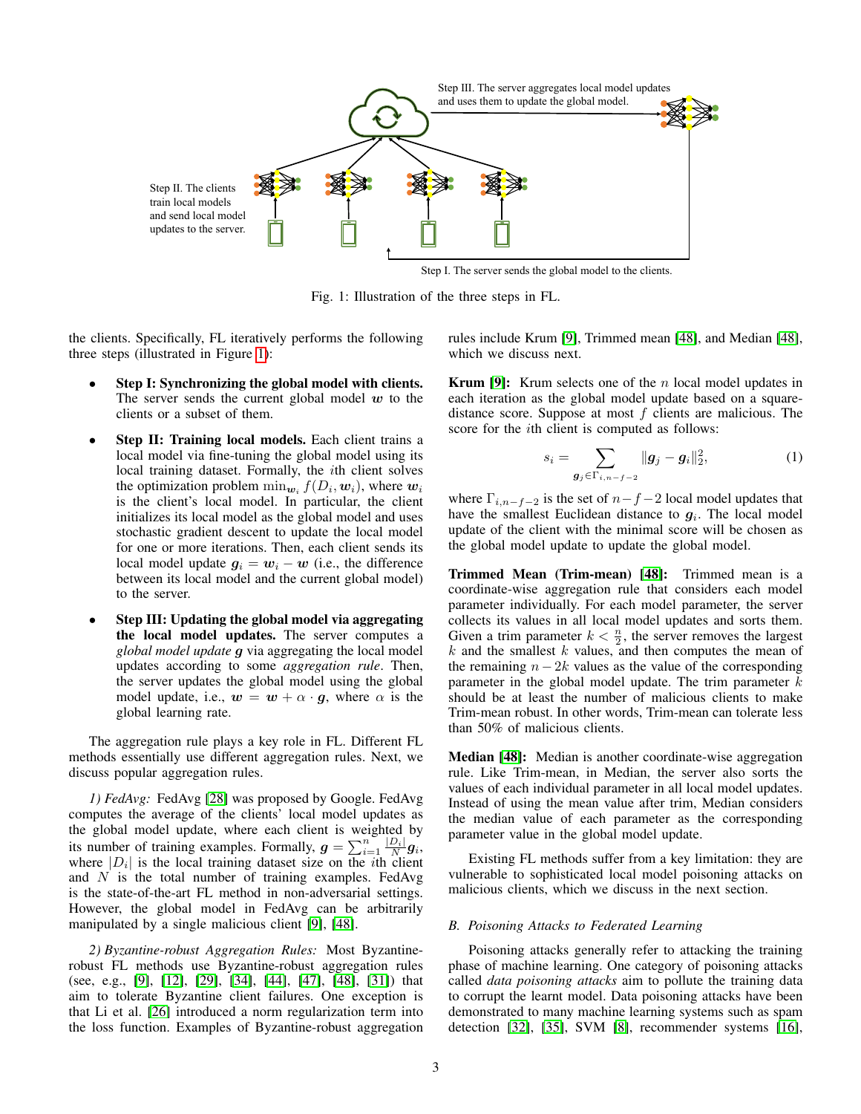<span id="page-2-0"></span>

Step Ⅰ. The server sends the global model to the clients.

Fig. 1: Illustration of the three steps in FL.

the clients. Specifically, FL iteratively performs the following three steps (illustrated in Figure [1\)](#page-2-0):

- Step I: Synchronizing the global model with clients. The server sends the current global model  $w$  to the clients or a subset of them.
- Step II: Training local models. Each client trains a local model via fine-tuning the global model using its local training dataset. Formally, the ith client solves the optimization problem  $\min_{\bm{w}_i} f(D_i, \bm{w}_i)$ , where  $\bm{w}_i$ is the client's local model. In particular, the client initializes its local model as the global model and uses stochastic gradient descent to update the local model for one or more iterations. Then, each client sends its local model update  $g_i = w_i - w$  (i.e., the difference between its local model and the current global model) to the server.
- Step III: Updating the global model via aggregating the local model updates. The server computes a *global model update* g via aggregating the local model updates according to some *aggregation rule*. Then, the server updates the global model using the global model update, i.e.,  $w = w + \alpha \cdot g$ , where  $\alpha$  is the global learning rate.

The aggregation rule plays a key role in FL. Different FL methods essentially use different aggregation rules. Next, we discuss popular aggregation rules.

*1) FedAvg:* FedAvg [\[28\]](#page-14-1) was proposed by Google. FedAvg computes the average of the clients' local model updates as the global model update, where each client is weighted by its number of training examples. Formally,  $g = \sum_{i=1}^{n} \frac{|D_i|}{N} g_i$ , where  $|D_i|$  is the local training dataset size on the *i*th client and  $N$  is the total number of training examples. FedAvg is the state-of-the-art FL method in non-adversarial settings. However, the global model in FedAvg can be arbitrarily manipulated by a single malicious client [\[9\]](#page-14-10), [\[48\]](#page-15-1).

*2) Byzantine-robust Aggregation Rules:* Most Byzantinerobust FL methods use Byzantine-robust aggregation rules (see, e.g., [\[9\]](#page-14-10), [\[12\]](#page-14-11), [\[29\]](#page-14-12), [\[34\]](#page-15-3), [\[44\]](#page-15-4), [\[47\]](#page-15-5), [\[48\]](#page-15-1), [\[31\]](#page-14-13)) that aim to tolerate Byzantine client failures. One exception is that Li et al. [\[26\]](#page-14-14) introduced a norm regularization term into the loss function. Examples of Byzantine-robust aggregation rules include Krum [\[9\]](#page-14-10), Trimmed mean [\[48\]](#page-15-1), and Median [\[48\]](#page-15-1), which we discuss next.

**Krum [\[9\]](#page-14-10):** Krum selects one of the *n* local model updates in each iteration as the global model update based on a squaredistance score. Suppose at most  $f$  clients are malicious. The score for the *i*th client is computed as follows:

$$
s_i = \sum_{\bm{g}_j \in \Gamma_{i,n-f-2}} \|\bm{g}_j - \bm{g}_i\|_2^2, \tag{1}
$$

where  $\Gamma_{i,n-f-2}$  is the set of  $n-f-2$  local model updates that have the smallest Euclidean distance to  $g_i$ . The local model update of the client with the minimal score will be chosen as the global model update to update the global model.

Trimmed Mean (Trim-mean) [\[48\]](#page-15-1): Trimmed mean is a coordinate-wise aggregation rule that considers each model parameter individually. For each model parameter, the server collects its values in all local model updates and sorts them. Given a trim parameter  $k < \frac{n}{2}$ , the server removes the largest  $k$  and the smallest  $k$  values, and then computes the mean of the remaining  $n-2k$  values as the value of the corresponding parameter in the global model update. The trim parameter  $k$ should be at least the number of malicious clients to make Trim-mean robust. In other words, Trim-mean can tolerate less than 50% of malicious clients.

Median [\[48\]](#page-15-1): Median is another coordinate-wise aggregation rule. Like Trim-mean, in Median, the server also sorts the values of each individual parameter in all local model updates. Instead of using the mean value after trim, Median considers the median value of each parameter as the corresponding parameter value in the global model update.

Existing FL methods suffer from a key limitation: they are vulnerable to sophisticated local model poisoning attacks on malicious clients, which we discuss in the next section.

## *B. Poisoning Attacks to Federated Learning*

Poisoning attacks generally refer to attacking the training phase of machine learning. One category of poisoning attacks called *data poisoning attacks* aim to pollute the training data to corrupt the learnt model. Data poisoning attacks have been demonstrated to many machine learning systems such as spam detection [\[32\]](#page-14-6), [\[35\]](#page-15-6), SVM [\[8\]](#page-14-5), recommender systems [\[16\]](#page-14-15),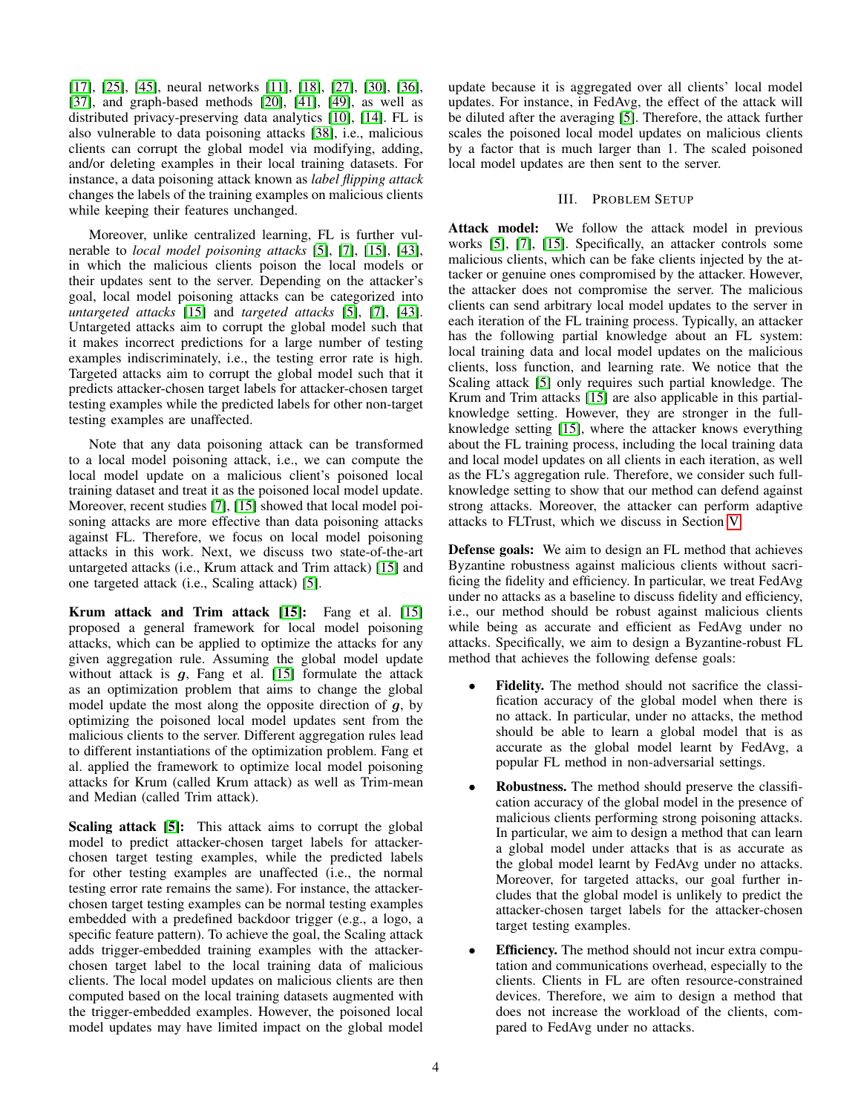[\[17\]](#page-14-16), [\[25\]](#page-14-17), [\[45\]](#page-15-7), neural networks [\[11\]](#page-14-18), [\[18\]](#page-14-19), [\[27\]](#page-14-20), [\[30\]](#page-14-21), [\[36\]](#page-15-8), [\[37\]](#page-15-9), and graph-based methods [\[20\]](#page-14-22), [\[41\]](#page-15-10), [\[49\]](#page-15-11), as well as distributed privacy-preserving data analytics [\[10\]](#page-14-23), [\[14\]](#page-14-24). FL is also vulnerable to data poisoning attacks [\[38\]](#page-15-12), i.e., malicious clients can corrupt the global model via modifying, adding, and/or deleting examples in their local training datasets. For instance, a data poisoning attack known as *label flipping attack* changes the labels of the training examples on malicious clients while keeping their features unchanged.

Moreover, unlike centralized learning, FL is further vulnerable to *local model poisoning attacks* [\[5\]](#page-14-9), [\[7\]](#page-14-8), [\[15\]](#page-14-7), [\[43\]](#page-15-0), in which the malicious clients poison the local models or their updates sent to the server. Depending on the attacker's goal, local model poisoning attacks can be categorized into *untargeted attacks* [\[15\]](#page-14-7) and *targeted attacks* [\[5\]](#page-14-9), [\[7\]](#page-14-8), [\[43\]](#page-15-0). Untargeted attacks aim to corrupt the global model such that it makes incorrect predictions for a large number of testing examples indiscriminately, i.e., the testing error rate is high. Targeted attacks aim to corrupt the global model such that it predicts attacker-chosen target labels for attacker-chosen target testing examples while the predicted labels for other non-target testing examples are unaffected.

Note that any data poisoning attack can be transformed to a local model poisoning attack, i.e., we can compute the local model update on a malicious client's poisoned local training dataset and treat it as the poisoned local model update. Moreover, recent studies [\[7\]](#page-14-8), [\[15\]](#page-14-7) showed that local model poisoning attacks are more effective than data poisoning attacks against FL. Therefore, we focus on local model poisoning attacks in this work. Next, we discuss two state-of-the-art untargeted attacks (i.e., Krum attack and Trim attack) [\[15\]](#page-14-7) and one targeted attack (i.e., Scaling attack) [\[5\]](#page-14-9).

Krum attack and Trim attack [\[15\]](#page-14-7): Fang et al. [15] proposed a general framework for local model poisoning attacks, which can be applied to optimize the attacks for any given aggregation rule. Assuming the global model update without attack is  $g$ , Fang et al. [\[15\]](#page-14-7) formulate the attack as an optimization problem that aims to change the global model update the most along the opposite direction of  $q$ , by optimizing the poisoned local model updates sent from the malicious clients to the server. Different aggregation rules lead to different instantiations of the optimization problem. Fang et al. applied the framework to optimize local model poisoning attacks for Krum (called Krum attack) as well as Trim-mean and Median (called Trim attack).

Scaling attack [\[5\]](#page-14-9): This attack aims to corrupt the global model to predict attacker-chosen target labels for attackerchosen target testing examples, while the predicted labels for other testing examples are unaffected (i.e., the normal testing error rate remains the same). For instance, the attackerchosen target testing examples can be normal testing examples embedded with a predefined backdoor trigger (e.g., a logo, a specific feature pattern). To achieve the goal, the Scaling attack adds trigger-embedded training examples with the attackerchosen target label to the local training data of malicious clients. The local model updates on malicious clients are then computed based on the local training datasets augmented with the trigger-embedded examples. However, the poisoned local model updates may have limited impact on the global model update because it is aggregated over all clients' local model updates. For instance, in FedAvg, the effect of the attack will be diluted after the averaging [\[5\]](#page-14-9). Therefore, the attack further scales the poisoned local model updates on malicious clients by a factor that is much larger than 1. The scaled poisoned local model updates are then sent to the server.

# III. PROBLEM SETUP

<span id="page-3-0"></span>Attack model: We follow the attack model in previous works [\[5\]](#page-14-9), [\[7\]](#page-14-8), [\[15\]](#page-14-7). Specifically, an attacker controls some malicious clients, which can be fake clients injected by the attacker or genuine ones compromised by the attacker. However, the attacker does not compromise the server. The malicious clients can send arbitrary local model updates to the server in each iteration of the FL training process. Typically, an attacker has the following partial knowledge about an FL system: local training data and local model updates on the malicious clients, loss function, and learning rate. We notice that the Scaling attack [\[5\]](#page-14-9) only requires such partial knowledge. The Krum and Trim attacks [\[15\]](#page-14-7) are also applicable in this partialknowledge setting. However, they are stronger in the fullknowledge setting [\[15\]](#page-14-7), where the attacker knows everything about the FL training process, including the local training data and local model updates on all clients in each iteration, as well as the FL's aggregation rule. Therefore, we consider such fullknowledge setting to show that our method can defend against strong attacks. Moreover, the attacker can perform adaptive attacks to FLTrust, which we discuss in Section [V.](#page-6-0)

Defense goals: We aim to design an FL method that achieves Byzantine robustness against malicious clients without sacrificing the fidelity and efficiency. In particular, we treat FedAvg under no attacks as a baseline to discuss fidelity and efficiency, i.e., our method should be robust against malicious clients while being as accurate and efficient as FedAvg under no attacks. Specifically, we aim to design a Byzantine-robust FL method that achieves the following defense goals:

- Fidelity. The method should not sacrifice the classification accuracy of the global model when there is no attack. In particular, under no attacks, the method should be able to learn a global model that is as accurate as the global model learnt by FedAvg, a popular FL method in non-adversarial settings.
- Robustness. The method should preserve the classification accuracy of the global model in the presence of malicious clients performing strong poisoning attacks. In particular, we aim to design a method that can learn a global model under attacks that is as accurate as the global model learnt by FedAvg under no attacks. Moreover, for targeted attacks, our goal further includes that the global model is unlikely to predict the attacker-chosen target labels for the attacker-chosen target testing examples.
- **Efficiency.** The method should not incur extra computation and communications overhead, especially to the clients. Clients in FL are often resource-constrained devices. Therefore, we aim to design a method that does not increase the workload of the clients, compared to FedAvg under no attacks.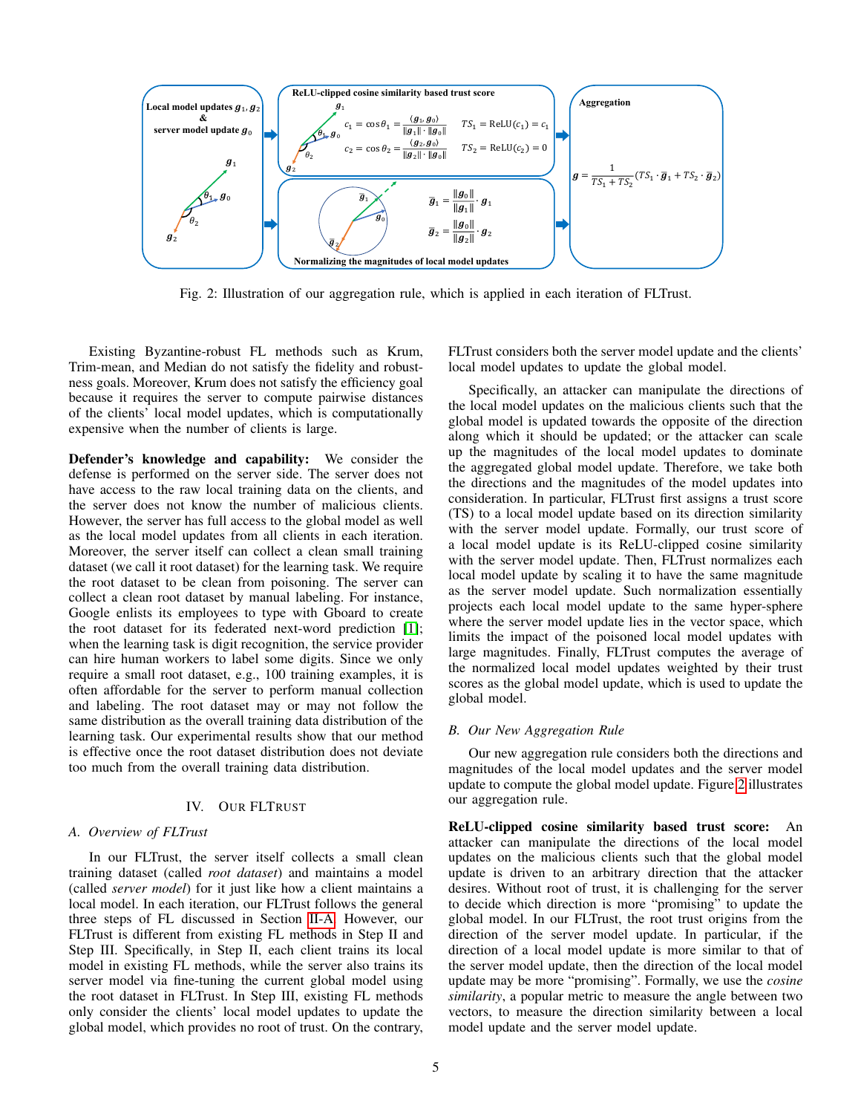<span id="page-4-0"></span>

Fig. 2: Illustration of our aggregation rule, which is applied in each iteration of FLTrust.

Existing Byzantine-robust FL methods such as Krum, Trim-mean, and Median do not satisfy the fidelity and robustness goals. Moreover, Krum does not satisfy the efficiency goal because it requires the server to compute pairwise distances of the clients' local model updates, which is computationally expensive when the number of clients is large.

Defender's knowledge and capability: We consider the defense is performed on the server side. The server does not have access to the raw local training data on the clients, and the server does not know the number of malicious clients. However, the server has full access to the global model as well as the local model updates from all clients in each iteration. Moreover, the server itself can collect a clean small training dataset (we call it root dataset) for the learning task. We require the root dataset to be clean from poisoning. The server can collect a clean root dataset by manual labeling. For instance, Google enlists its employees to type with Gboard to create the root dataset for its federated next-word prediction [\[1\]](#page-14-2); when the learning task is digit recognition, the service provider can hire human workers to label some digits. Since we only require a small root dataset, e.g., 100 training examples, it is often affordable for the server to perform manual collection and labeling. The root dataset may or may not follow the same distribution as the overall training data distribution of the learning task. Our experimental results show that our method is effective once the root dataset distribution does not deviate too much from the overall training data distribution.

## IV. OUR FLTRUST

# *A. Overview of FLTrust*

In our FLTrust, the server itself collects a small clean training dataset (called *root dataset*) and maintains a model (called *server model*) for it just like how a client maintains a local model. In each iteration, our FLTrust follows the general three steps of FL discussed in Section [II-A.](#page-1-1) However, our FLTrust is different from existing FL methods in Step II and Step III. Specifically, in Step II, each client trains its local model in existing FL methods, while the server also trains its server model via fine-tuning the current global model using the root dataset in FLTrust. In Step III, existing FL methods only consider the clients' local model updates to update the global model, which provides no root of trust. On the contrary, FLTrust considers both the server model update and the clients' local model updates to update the global model.

Specifically, an attacker can manipulate the directions of the local model updates on the malicious clients such that the global model is updated towards the opposite of the direction along which it should be updated; or the attacker can scale up the magnitudes of the local model updates to dominate the aggregated global model update. Therefore, we take both the directions and the magnitudes of the model updates into consideration. In particular, FLTrust first assigns a trust score (TS) to a local model update based on its direction similarity with the server model update. Formally, our trust score of a local model update is its ReLU-clipped cosine similarity with the server model update. Then, FLTrust normalizes each local model update by scaling it to have the same magnitude as the server model update. Such normalization essentially projects each local model update to the same hyper-sphere where the server model update lies in the vector space, which limits the impact of the poisoned local model updates with large magnitudes. Finally, FLTrust computes the average of the normalized local model updates weighted by their trust scores as the global model update, which is used to update the global model.

### *B. Our New Aggregation Rule*

Our new aggregation rule considers both the directions and magnitudes of the local model updates and the server model update to compute the global model update. Figure [2](#page-4-0) illustrates our aggregation rule.

ReLU-clipped cosine similarity based trust score: An attacker can manipulate the directions of the local model updates on the malicious clients such that the global model update is driven to an arbitrary direction that the attacker desires. Without root of trust, it is challenging for the server to decide which direction is more "promising" to update the global model. In our FLTrust, the root trust origins from the direction of the server model update. In particular, if the direction of a local model update is more similar to that of the server model update, then the direction of the local model update may be more "promising". Formally, we use the *cosine similarity*, a popular metric to measure the angle between two vectors, to measure the direction similarity between a local model update and the server model update.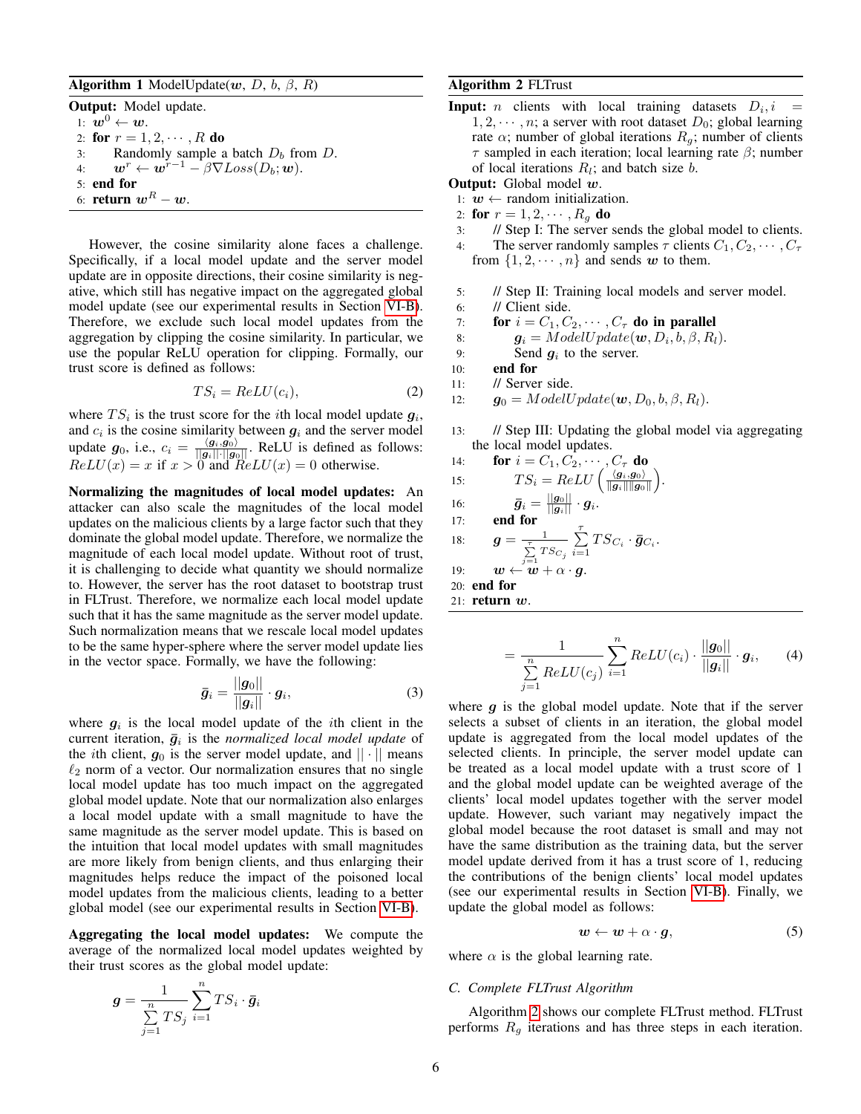# <span id="page-5-1"></span>Algorithm 1 ModelUpdate $(w, D, b, \beta, R)$

Output: Model update. 1:  $w^0 \leftarrow w$ . 2: for  $r = 1, 2, \dots, R$  do 3: Randomly sample a batch  $D_b$  from  $D$ . 4:  $\mathbf{w}^r \leftarrow \mathbf{w}^{r-1} - \beta \nabla Loss(D_b; \mathbf{w}).$ 5: end for 6: return  $w^R - w$ .

However, the cosine similarity alone faces a challenge. Specifically, if a local model update and the server model update are in opposite directions, their cosine similarity is negative, which still has negative impact on the aggregated global model update (see our experimental results in Section [VI-B\)](#page-10-0). Therefore, we exclude such local model updates from the aggregation by clipping the cosine similarity. In particular, we use the popular ReLU operation for clipping. Formally, our trust score is defined as follows:

$$
TS_i = ReLU(c_i), \t\t(2)
$$

where  $TS_i$  is the trust score for the *i*th local model update  $g_i$ , and  $c_i$  is the cosine similarity between  $g_i$  and the server model update  $g_0$ , i.e.,  $c_i = \frac{\langle g_i, g_0 \rangle}{\|g_i\| \cdot \|g_0\|}$ . ReLU is defined as follows:  $ReLU(x) = x$  if  $x > 0$  and  $ReLU(x) = 0$  otherwise.

Normalizing the magnitudes of local model updates: An attacker can also scale the magnitudes of the local model updates on the malicious clients by a large factor such that they dominate the global model update. Therefore, we normalize the magnitude of each local model update. Without root of trust, it is challenging to decide what quantity we should normalize to. However, the server has the root dataset to bootstrap trust in FLTrust. Therefore, we normalize each local model update such that it has the same magnitude as the server model update. Such normalization means that we rescale local model updates to be the same hyper-sphere where the server model update lies in the vector space. Formally, we have the following:

$$
\bar{g}_i = \frac{||g_0||}{||g_i||} \cdot g_i,\tag{3}
$$

where  $g_i$  is the local model update of the *i*th client in the current iteration,  $\bar{g}_i$  is the *normalized local model update* of the *i*th client,  $g_0$  is the server model update, and  $|| \cdot ||$  means  $\ell_2$  norm of a vector. Our normalization ensures that no single local model update has too much impact on the aggregated global model update. Note that our normalization also enlarges a local model update with a small magnitude to have the same magnitude as the server model update. This is based on the intuition that local model updates with small magnitudes are more likely from benign clients, and thus enlarging their magnitudes helps reduce the impact of the poisoned local model updates from the malicious clients, leading to a better global model (see our experimental results in Section [VI-B\)](#page-10-0).

Aggregating the local model updates: We compute the average of the normalized local model updates weighted by their trust scores as the global model update:

$$
\boldsymbol{g} = \frac{1}{\sum\limits_{j=1}^{n}TS_j} \sum\limits_{i=1}^{n} TS_i \cdot \boldsymbol{\bar{g}}_i
$$

# <span id="page-5-0"></span>Algorithm 2 FLTrust

**Input:** *n* clients with local training datasets  $D_i$ , *i* =  $1, 2, \dots, n$ ; a server with root dataset  $D_0$ ; global learning rate  $\alpha$ ; number of global iterations  $R_q$ ; number of clients  $\tau$  sampled in each iteration; local learning rate  $\beta$ ; number of local iterations  $R_l$ ; and batch size *b*.

Output: Global model w.

- 1:  $w \leftarrow$  random initialization.
- 2: for  $r = 1, 2, \cdots, R_q$  do
- 3: // Step I: The server sends the global model to clients.
- 4: The server randomly samples  $\tau$  clients  $C_1, C_2, \cdots, C_{\tau}$ from  $\{1, 2, \dots, n\}$  and sends w to them.
- 5: // Step II: Training local models and server model.
- 6: // Client side.
- 7: for  $i = C_1, C_2, \cdots, C_{\tau}$  do in parallel

8: 
$$
\mathbf{g}_i = ModelUpdate(\mathbf{w}, D_i, b, \beta, R_l).
$$

9: Send  $g_i$  to the server.

- 10: end for
- 11: // Server side.

12:  $\mathbf{g}_0 = ModelUpdate(\mathbf{w}, D_0, b, \beta, R_l).$ 

13: // Step III: Updating the global model via aggregating the local model updates.

14: **for** 
$$
i = C_1, C_2, \cdots, C_\tau
$$
 **do**  
15: 
$$
TS_i = ReLU \left( \frac{\langle g_i, g_0 \rangle}{\|g_i\| \|g_0\|} \right).
$$

15. 
$$
15_i = 1650
$$
  $(||g_i|| ||g_0||)$   
16.  $\bar{a} = ||g_0||$ 

16: 
$$
\bar{g}_i = \frac{||g_0||}{||g_i||} \cdot g_i.
$$

17: end for

18: 
$$
\mathbf{g} = \frac{1}{\sum\limits_{i=1}^{T} TS_{C_i}} \sum\limits_{i=1}^{T} TS_{C_i} \cdot \bar{\mathbf{g}}_{C_i}.
$$

$$
\ 19: \qquad \boldsymbol{w} \leftarrow \overset{{\scriptscriptstyle j} = 1}{\boldsymbol{w}} + \overset{{\scriptscriptstyle j}}{\alpha} \cdot \boldsymbol{g}.
$$

20: end for

21: return w.

<span id="page-5-2"></span>
$$
= \frac{1}{\sum\limits_{j=1}^n ReLU(c_j)} \sum\limits_{i=1}^n ReLU(c_i) \cdot \frac{||g_0||}{||g_i||} \cdot g_i, \qquad (4)
$$

where  $g$  is the global model update. Note that if the server selects a subset of clients in an iteration, the global model update is aggregated from the local model updates of the selected clients. In principle, the server model update can be treated as a local model update with a trust score of 1 and the global model update can be weighted average of the clients' local model updates together with the server model update. However, such variant may negatively impact the global model because the root dataset is small and may not have the same distribution as the training data, but the server model update derived from it has a trust score of 1, reducing the contributions of the benign clients' local model updates (see our experimental results in Section [VI-B\)](#page-10-0). Finally, we update the global model as follows:

$$
w \leftarrow w + \alpha \cdot g,\tag{5}
$$

where  $\alpha$  is the global learning rate.

### *C. Complete FLTrust Algorithm*

Algorithm [2](#page-5-0) shows our complete FLTrust method. FLTrust performs  $R<sub>q</sub>$  iterations and has three steps in each iteration.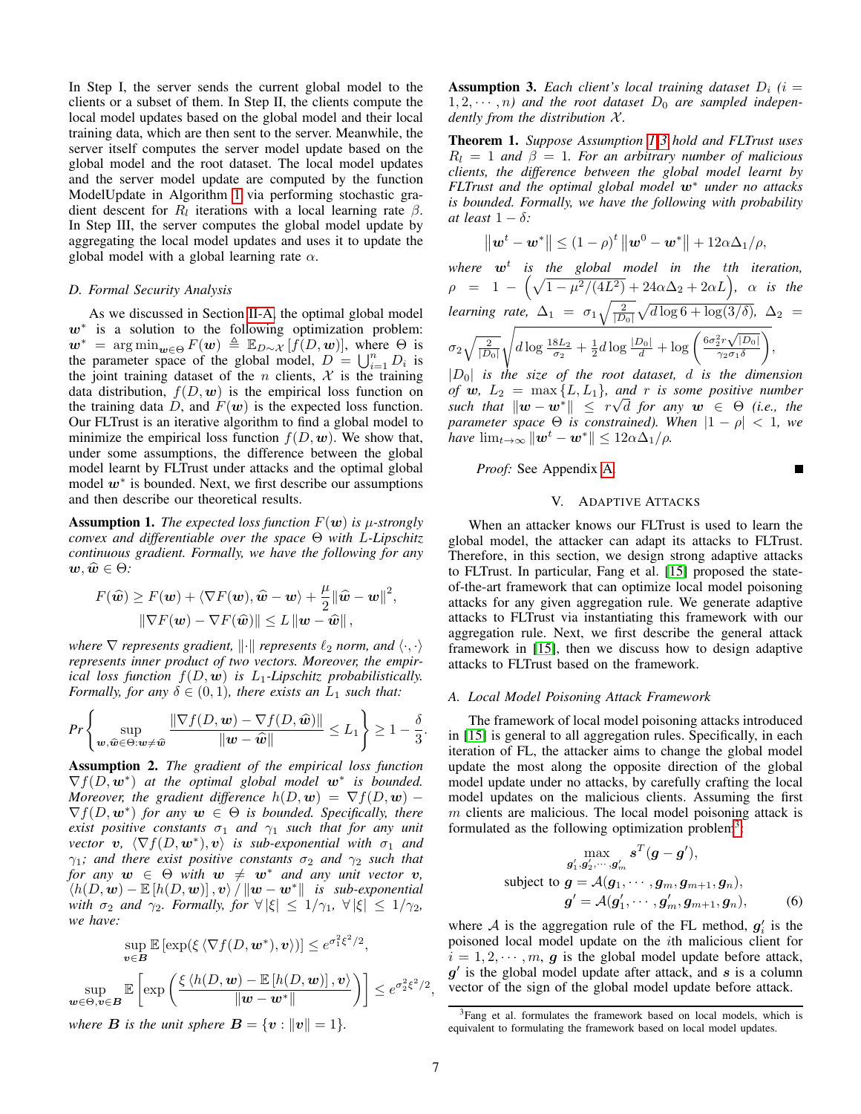In Step I, the server sends the current global model to the clients or a subset of them. In Step II, the clients compute the local model updates based on the global model and their local training data, which are then sent to the server. Meanwhile, the server itself computes the server model update based on the global model and the root dataset. The local model updates and the server model update are computed by the function ModelUpdate in Algorithm [1](#page-5-1) via performing stochastic gradient descent for  $R_l$  iterations with a local learning rate  $\beta$ . In Step III, the server computes the global model update by aggregating the local model updates and uses it to update the global model with a global learning rate  $\alpha$ .

### *D. Formal Security Analysis*

As we discussed in Section [II-A,](#page-1-1) the optimal global model  $w^*$  is a solution to the following optimization problem:  $\mathbf{w}^* = \arg \min_{\mathbf{w} \in \Theta} F(\mathbf{w}) \triangleq \mathbb{E}_{D \sim \mathcal{X}} [f(D, \mathbf{w})],$  where  $\Theta$  is the parameter space of the global model,  $D = \bigcup_{i=1}^{n} D_i$  is the joint training dataset of the *n* clients,  $X$  is the training data distribution,  $f(D, w)$  is the empirical loss function on the training data D, and  $F(w)$  is the expected loss function. Our FLTrust is an iterative algorithm to find a global model to minimize the empirical loss function  $f(D, w)$ . We show that, under some assumptions, the difference between the global model learnt by FLTrust under attacks and the optimal global model  $w^*$  is bounded. Next, we first describe our assumptions and then describe our theoretical results.

<span id="page-6-1"></span>**Assumption 1.** The expected loss function  $F(w)$  is  $\mu$ -strongly *convex and differentiable over the space* Θ *with* L*-Lipschitz continuous gradient. Formally, we have the following for any*  $w, \widehat{w} \in \Theta$ :

$$
F(\widehat{\boldsymbol{w}}) \geq F(\boldsymbol{w}) + \langle \nabla F(\boldsymbol{w}), \widehat{\boldsymbol{w}} - \boldsymbol{w} \rangle + \frac{\mu}{2} ||\widehat{\boldsymbol{w}} - \boldsymbol{w}||^2,
$$
  

$$
\|\nabla F(\boldsymbol{w}) - \nabla F(\widehat{\boldsymbol{w}}) \| \leq L \|\boldsymbol{w} - \widehat{\boldsymbol{w}}\|,
$$

*where*  $\nabla$  *represents* gradient,  $\|\cdot\|$  *represents*  $\ell_2$  *norm, and*  $\langle \cdot, \cdot \rangle$ *represents inner product of two vectors. Moreover, the empirical loss function*  $f(D, \mathbf{w})$  *is L*<sub>1</sub>-Lipschitz probabilistically. *Formally, for any*  $\delta \in (0,1)$ *, there exists an*  $L_1$  *such that:* 

$$
Pr\left\{\sup_{\boldsymbol{w},\widehat{\boldsymbol{w}}\in\Theta:\boldsymbol{w}\neq\widehat{\boldsymbol{w}}}\frac{\|\nabla f(D,\boldsymbol{w})-\nabla f(D,\widehat{\boldsymbol{w}})\|}{\|\boldsymbol{w}-\widehat{\boldsymbol{w}}\|}\leq L_1\right\}\geq 1-\frac{\delta}{3}.
$$

<span id="page-6-6"></span>Assumption 2. *The gradient of the empirical loss function*  $\nabla f(D, \mathbf{w}^*)$  at the optimal global model  $\mathbf{w}^*$  is bounded. *Moreover, the gradient difference*  $h(D, \mathbf{w}) = \nabla f(D, \mathbf{w})$  –  $\nabla f(D, \mathbf{w}^*)$  for any  $\mathbf{w} \in \Theta$  is bounded. Specifically, there *exist positive constants*  $\sigma_1$  *and*  $\gamma_1$  *such that for any unit*  $\forall$  *vector*  $\bm{v}$ ,  $\langle \nabla f(D, \bm{w}^*) , \bm{v} \rangle$  *is sub-exponential with*  $\sigma_1$  *and*  $\gamma_1$ *; and there exist positive constants*  $\sigma_2$  *and*  $\gamma_2$  *such that for any*  $w \in \Theta$  *with*  $w \neq w^*$  *and any unit vector*  $v$ *,*  $\langle h(D, \boldsymbol{w}) - \mathbb{E} \left[ h(D, \boldsymbol{w}) \right], \boldsymbol{v} \rangle / \left\| \boldsymbol{w} - \boldsymbol{w}^* \right\|$  *is sub-exponential with*  $\sigma_2$  *and*  $\gamma_2$ *. Formally, for*  $\forall |\xi| \leq 1/\gamma_1$ ,  $\forall |\xi| \leq 1/\gamma_2$ , *we have:*

$$
\sup_{\mathbf{v}\in\mathbf{B}} \mathbb{E}\left[\exp(\xi \langle \nabla f(D,\mathbf{w}^*), \mathbf{v}\rangle)\right] \leq e^{\sigma_1^2 \xi^2/2},
$$
  

$$
\sup_{\mathbf{w}\in\Theta, \mathbf{v}\in\mathbf{B}} \mathbb{E}\left[\exp\left(\frac{\xi \langle h(D,\mathbf{w}) - \mathbb{E}\left[h(D,\mathbf{w})\right], \mathbf{v}\rangle}{\|\mathbf{w}-\mathbf{w}^*\|}\right)\right] \leq e^{\sigma_2^2 \xi^2/2},
$$

*where*  $\bf{B}$  *is the unit sphere*  $\bf{B} = \{v : ||v|| = 1\}.$ 

<span id="page-6-2"></span>**Assumption 3.** Each client's local training dataset  $D_i$  (*i* =  $1, 2, \dots, n$  and the root dataset  $D_0$  are sampled indepen*dently from the distribution X.* 

<span id="page-6-5"></span>Theorem 1. *Suppose Assumption [1-](#page-6-1)[3](#page-6-2) hold and FLTrust uses*  $R_l = 1$  *and*  $\beta = 1$ *. For an arbitrary number of malicious clients, the difference between the global model learnt by FLTrust and the optimal global model* w<sup>∗</sup> *under no attacks is bounded. Formally, we have the following with probability at least*  $1 - \delta$ *:* 

$$
\|\boldsymbol{w}^{t}-\boldsymbol{w}^{*}\|\leq (1-\rho)^{t}\|\boldsymbol{w}^{0}-\boldsymbol{w}^{*}\|+12\alpha\Delta_{1}/\rho,
$$

*where* w<sup>t</sup> *is the global model in the* t*th iteration,*  $\rho$  = 1 –  $(\sqrt{1-\mu^2/(4L^2)}+24\alpha\Delta_2+2\alpha L)$ ,  $\alpha$  *is the learning rate,*  $\Delta_1 = \sigma_1 \sqrt{\frac{2}{|D_0|}} \sqrt{d \log 6 + \log(3/\delta)}$ ,  $\Delta_2 =$  $\sigma_2\sqrt{\frac{2}{|D_0|}}$  $\overline{\phantom{a}}$  $d \log \frac{18L_2}{\sigma_2} + \frac{1}{2}d \log \frac{|D_0|}{d} + \log \left( \frac{6\sigma_2^2 r \sqrt{|D_0|}}{\gamma_2 \sigma_1 \delta_1} \right)$  $\gamma_2\sigma_1\delta$  $\bigg),$ |D0| *is the size of the root dataset,* d *is the dimension*

*of*  $w$ ,  $L_2 = \max\{L, L_1\}$ , and r is some positive number  $\|x - w^*\| \leq r\sqrt{d}$  *for any*  $w \in \Theta$  *(i.e., the parameter space* Θ *is constrained). When* |1 − ρ| < 1*, we have*  $\lim_{t\to\infty} ||w^t - w^*|| \leq 12\alpha\Delta_1/\rho$ .

*Proof:* See Appendix [A.](#page-15-13)

# V. ADAPTIVE ATTACKS

 $\blacksquare$ 

<span id="page-6-0"></span>When an attacker knows our FLTrust is used to learn the global model, the attacker can adapt its attacks to FLTrust. Therefore, in this section, we design strong adaptive attacks to FLTrust. In particular, Fang et al. [\[15\]](#page-14-7) proposed the stateof-the-art framework that can optimize local model poisoning attacks for any given aggregation rule. We generate adaptive attacks to FLTrust via instantiating this framework with our aggregation rule. Next, we first describe the general attack framework in [\[15\]](#page-14-7), then we discuss how to design adaptive attacks to FLTrust based on the framework.

### *A. Local Model Poisoning Attack Framework*

The framework of local model poisoning attacks introduced in [\[15\]](#page-14-7) is general to all aggregation rules. Specifically, in each iteration of FL, the attacker aims to change the global model update the most along the opposite direction of the global model update under no attacks, by carefully crafting the local model updates on the malicious clients. Assuming the first  $m$  clients are malicious. The local model poisoning attack is formulated as the following optimization problem<sup>[3](#page-6-3)</sup>:

<span id="page-6-4"></span>
$$
\max_{g'_1, g'_2, \cdots, g'_m} s^T(g - g'),
$$
\nsubject to  $g = \mathcal{A}(g_1, \cdots, g_m, g_{m+1}, g_n),$   
\n
$$
g' = \mathcal{A}(g'_1, \cdots, g'_m, g_{m+1}, g_n),
$$
\n(6)

where A is the aggregation rule of the FL method,  $g_i$  is the poisoned local model update on the ith malicious client for  $i = 1, 2, \dots, m$ , g is the global model update before attack,  $g'$  is the global model update after attack, and  $s$  is a column vector of the sign of the global model update before attack.

<span id="page-6-3"></span><sup>3</sup>Fang et al. formulates the framework based on local models, which is equivalent to formulating the framework based on local model updates.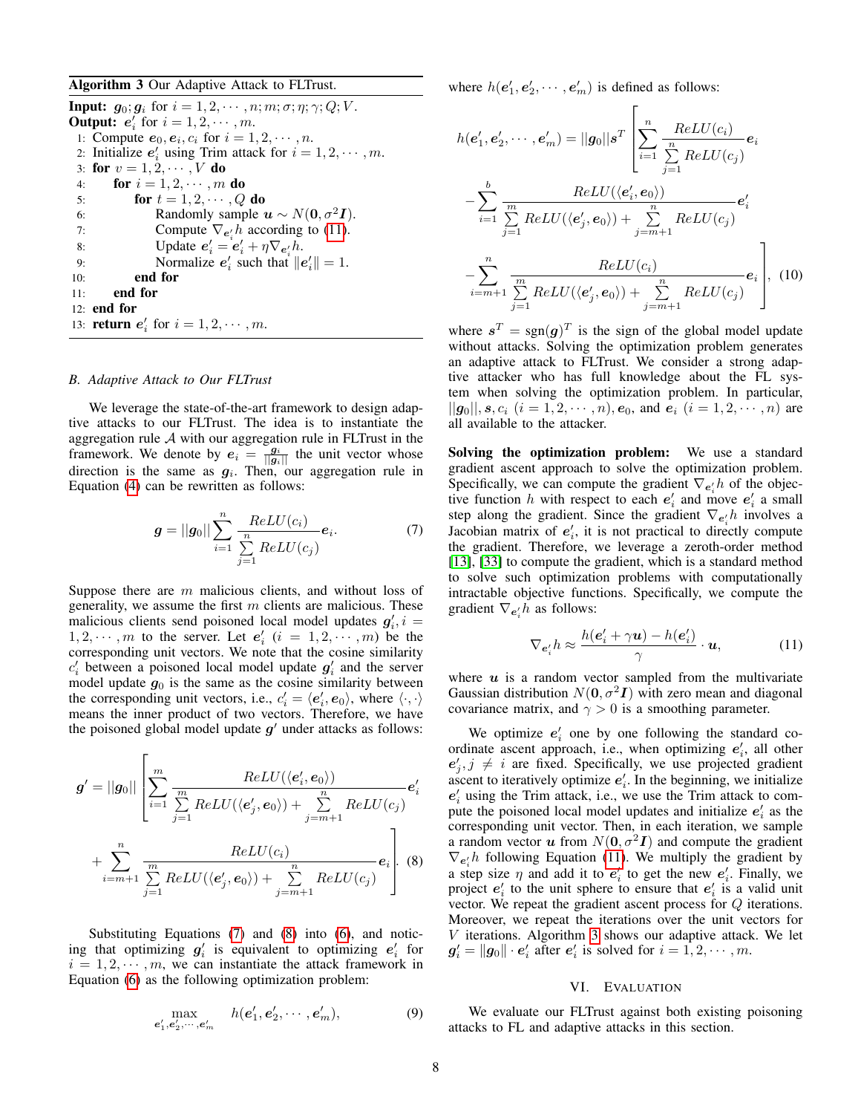<span id="page-7-3"></span>Algorithm 3 Our Adaptive Attack to FLTrust.

**Input:**  $g_0$ ;  $g_i$  for  $i = 1, 2, \dots, n; m; \sigma; \eta; \gamma; Q; V$ . **Output:**  $e'_i$  for  $i = 1, 2, \dots, m$ . 1: Compute  $e_0, e_i, c_i$  for  $i = 1, 2, \dots, n$ . 2: Initialize  $e'_i$  using Trim attack for  $i = 1, 2, \cdots, m$ . 3: for  $v = 1, 2, \dots, V$  do 4: **for**  $i = 1, 2, \cdots, m$  **do** 5: for  $t = 1, 2, \cdots, Q$  do 6: Randomly sample  $u \sim N(0, \sigma^2 I)$ . 7: Compute  $\nabla_{e_i'} h$  according to [\(11\)](#page-7-0). 8: Update  $e'_i = e'_i + \eta \nabla_{e'_i} h$ . 9: Normalize  $e'_i$  such that  $||e'_i|| = 1$ . 10: end for 11: end for 12: end for 13: **return**  $e'_i$  for  $i = 1, 2, \dots, m$ .

# *B. Adaptive Attack to Our FLTrust*

We leverage the state-of-the-art framework to design adaptive attacks to our FLTrust. The idea is to instantiate the aggregation rule  $A$  with our aggregation rule in FLTrust in the framework. We denote by  $e_i = \frac{g_i}{||g_i||}$  the unit vector whose direction is the same as  $g_i$ . Then, our aggregation rule in Equation [\(4\)](#page-5-2) can be rewritten as follows:

$$
g = ||g_0|| \sum_{i=1}^{n} \frac{ReLU(c_i)}{\sum_{j=1}^{n} ReLU(c_j)} e_i.
$$
 (7)

Suppose there are m malicious clients, and without loss of generality, we assume the first  $m$  clients are malicious. These malicious clients send poisoned local model updates  $g'_{i}$ ,  $i =$  $1, 2, \dots, m$  to the server. Let  $e'_i$   $(i = 1, 2, \dots, m)$  be the corresponding unit vectors. We note that the cosine similarity  $c_i$  between a poisoned local model update  $g_i$  and the server model update  $g_0$  is the same as the cosine similarity between the corresponding unit vectors, i.e.,  $c_i' = \langle e_i', e_0 \rangle$ , where  $\langle \cdot, \cdot \rangle$ means the inner product of two vectors. Therefore, we have the poisoned global model update  $g'$  under attacks as follows:

$$
g' = ||g_0|| \left[ \sum_{i=1}^m \frac{ReLU(\langle e'_i, e_0 \rangle)}{\sum_{j=1}^m ReLU(\langle e'_j, e_0 \rangle) + \sum_{j=m+1}^n ReLU(c_j)} e'_i + \sum_{i=m+1}^n \frac{ReLU(c_i)}{\sum_{j=1}^m ReLU(c_j) + \sum_{j=m+1}^n ReLU(c_j)} e_i \right].
$$
 (8)

Substituting Equations [\(7\)](#page-7-1) and [\(8\)](#page-7-2) into [\(6\)](#page-6-4), and noticing that optimizing  $g'_i$  is equivalent to optimizing  $e'_i$  for  $i = 1, 2, \dots, m$ , we can instantiate the attack framework in Equation [\(6\)](#page-6-4) as the following optimization problem:

$$
\max_{\mathbf{e}'_1, \mathbf{e}'_2, \cdots, \mathbf{e}'_m} \quad h(\mathbf{e}'_1, \mathbf{e}'_2, \cdots, \mathbf{e}'_m), \tag{9}
$$

where  $h(e'_1, e'_2, \dots, e'_m)$  is defined as follows:

$$
h(e'_1, e'_2, \dots, e'_m) = ||g_0||s^T \left[ \sum_{i=1}^n \frac{ReLU(c_i)}{\sum_{j=1}^n ReLU(c_j)} e_i \right]
$$

$$
- \sum_{i=1}^b \frac{ReLU(\langle e'_i, e_0 \rangle)}{\sum_{j=1}^m ReLU(\langle e'_j, e_0 \rangle) + \sum_{j=m+1}^n ReLU(c_j)} e'_i
$$

$$
- \sum_{i=m+1}^n \frac{ReLU(c_i)}{\sum_{j=1}^m ReLU(\langle e'_j, e_0 \rangle) + \sum_{j=m+1}^n ReLU(c_j)} e_i \right], (10)
$$

where  $s^T = sgn(g)^T$  is the sign of the global model update without attacks. Solving the optimization problem generates an adaptive attack to FLTrust. We consider a strong adaptive attacker who has full knowledge about the FL system when solving the optimization problem. In particular,  $||g_0||, s, c_i$   $(i = 1, 2, \dots, n), e_0$ , and  $e_i$   $(i = 1, 2, \dots, n)$  are all available to the attacker.

<span id="page-7-1"></span>Solving the optimization problem: We use a standard gradient ascent approach to solve the optimization problem. Specifically, we can compute the gradient  $\nabla_{e_i} h$  of the objective function h with respect to each  $e'_i$  and move  $e'_i$  a small step along the gradient. Since the gradient  $\nabla_{e_i'} h$  involves a Jacobian matrix of  $e'_i$ , it is not practical to directly compute the gradient. Therefore, we leverage a zeroth-order method [\[13\]](#page-14-25), [\[33\]](#page-14-26) to compute the gradient, which is a standard method to solve such optimization problems with computationally intractable objective functions. Specifically, we compute the gradient  $\nabla_{e'_i} h$  as follows:

<span id="page-7-0"></span>
$$
\nabla_{\mathbf{e}'_i} h \approx \frac{h(\mathbf{e}'_i + \gamma \mathbf{u}) - h(\mathbf{e}'_i)}{\gamma} \cdot \mathbf{u},\tag{11}
$$

where  $u$  is a random vector sampled from the multivariate Gaussian distribution  $N(\mathbf{0}, \sigma^2 \mathbf{I})$  with zero mean and diagonal covariance matrix, and  $\gamma > 0$  is a smoothing parameter.

<span id="page-7-2"></span>We optimize  $e_i'$  one by one following the standard coordinate ascent approach, i.e., when optimizing  $e'_i$ , all other  $e'_{j}, j \neq i$  are fixed. Specifically, we use projected gradient ascent to iteratively optimize  $e'_i$ . In the beginning, we initialize  $e'_{i}$  using the Trim attack, i.e., we use the Trim attack to compute the poisoned local model updates and initialize  $e_i$  as the corresponding unit vector. Then, in each iteration, we sample a random vector u from  $N(0, \sigma^2 I)$  and compute the gradient  $\nabla_{e'_i}h$  following Equation [\(11\)](#page-7-0). We multiply the gradient by a step size  $\eta$  and add it to  $e'_i$  to get the new  $e'_i$ . Finally, we project  $e'_i$  to the unit sphere to ensure that  $e'_i$  is a valid unit vector. We repeat the gradient ascent process for Q iterations. Moreover, we repeat the iterations over the unit vectors for V iterations. Algorithm [3](#page-7-3) shows our adaptive attack. We let  $g'_{i} = ||g_0|| \cdot e'_{i}$  after  $e'_{i}$  is solved for  $i = 1, 2, \cdots, m$ .

### VI. EVALUATION

We evaluate our FLTrust against both existing poisoning attacks to FL and adaptive attacks in this section.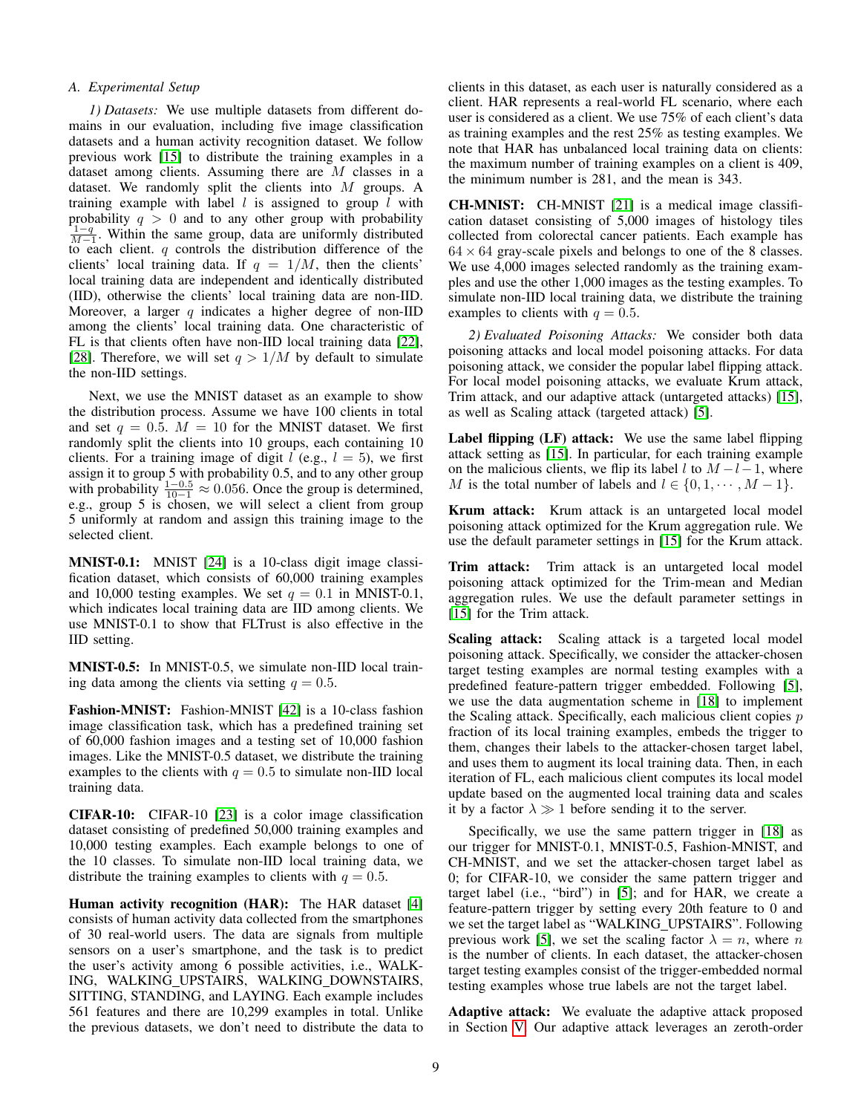# *A. Experimental Setup*

*1) Datasets:* We use multiple datasets from different domains in our evaluation, including five image classification datasets and a human activity recognition dataset. We follow previous work [\[15\]](#page-14-7) to distribute the training examples in a dataset among clients. Assuming there are M classes in a dataset. We randomly split the clients into  $M$  groups. A training example with label  $l$  is assigned to group  $l$  with probability  $q > 0$  and to any other group with probability  $\frac{1-q}{M-1}$ . Within the same group, data are uniformly distributed to each client.  $q$  controls the distribution difference of the clients' local training data. If  $q = 1/M$ , then the clients' local training data are independent and identically distributed (IID), otherwise the clients' local training data are non-IID. Moreover, a larger q indicates a higher degree of non-IID among the clients' local training data. One characteristic of FL is that clients often have non-IID local training data [\[22\]](#page-14-0), [\[28\]](#page-14-1). Therefore, we will set  $q > 1/M$  by default to simulate the non-IID settings.

Next, we use the MNIST dataset as an example to show the distribution process. Assume we have 100 clients in total and set  $q = 0.5$ .  $M = 10$  for the MNIST dataset. We first randomly split the clients into 10 groups, each containing 10 clients. For a training image of digit  $l$  (e.g.,  $l = 5$ ), we first assign it to group 5 with probability 0.5, and to any other group with probability  $\frac{1-0.5}{10-1} \approx 0.056$ . Once the group is determined, e.g., group 5 is chosen, we will select a client from group 5 uniformly at random and assign this training image to the selected client.

MNIST-0.1: MNIST [\[24\]](#page-14-27) is a 10-class digit image classification dataset, which consists of 60,000 training examples and 10,000 testing examples. We set  $q = 0.1$  in MNIST-0.1, which indicates local training data are IID among clients. We use MNIST-0.1 to show that FLTrust is also effective in the IID setting.

MNIST-0.5: In MNIST-0.5, we simulate non-IID local training data among the clients via setting  $q = 0.5$ .

Fashion-MNIST: Fashion-MNIST [\[42\]](#page-15-14) is a 10-class fashion image classification task, which has a predefined training set of 60,000 fashion images and a testing set of 10,000 fashion images. Like the MNIST-0.5 dataset, we distribute the training examples to the clients with  $q = 0.5$  to simulate non-IID local training data.

CIFAR-10: CIFAR-10 [\[23\]](#page-14-28) is a color image classification dataset consisting of predefined 50,000 training examples and 10,000 testing examples. Each example belongs to one of the 10 classes. To simulate non-IID local training data, we distribute the training examples to clients with  $q = 0.5$ .

Human activity recognition (HAR): The HAR dataset [\[4\]](#page-14-29) consists of human activity data collected from the smartphones of 30 real-world users. The data are signals from multiple sensors on a user's smartphone, and the task is to predict the user's activity among 6 possible activities, i.e., WALK-ING, WALKING UPSTAIRS, WALKING DOWNSTAIRS, SITTING, STANDING, and LAYING. Each example includes 561 features and there are 10,299 examples in total. Unlike the previous datasets, we don't need to distribute the data to clients in this dataset, as each user is naturally considered as a client. HAR represents a real-world FL scenario, where each user is considered as a client. We use 75% of each client's data as training examples and the rest 25% as testing examples. We note that HAR has unbalanced local training data on clients: the maximum number of training examples on a client is 409, the minimum number is 281, and the mean is 343.

CH-MNIST: CH-MNIST [\[21\]](#page-14-30) is a medical image classification dataset consisting of 5,000 images of histology tiles collected from colorectal cancer patients. Each example has  $64 \times 64$  gray-scale pixels and belongs to one of the 8 classes. We use 4,000 images selected randomly as the training examples and use the other 1,000 images as the testing examples. To simulate non-IID local training data, we distribute the training examples to clients with  $q = 0.5$ .

*2) Evaluated Poisoning Attacks:* We consider both data poisoning attacks and local model poisoning attacks. For data poisoning attack, we consider the popular label flipping attack. For local model poisoning attacks, we evaluate Krum attack, Trim attack, and our adaptive attack (untargeted attacks) [\[15\]](#page-14-7), as well as Scaling attack (targeted attack) [\[5\]](#page-14-9).

Label flipping (LF) attack: We use the same label flipping attack setting as [\[15\]](#page-14-7). In particular, for each training example on the malicious clients, we flip its label l to  $M - l - 1$ , where M is the total number of labels and  $l \in \{0, 1, \dots, M - 1\}.$ 

Krum attack: Krum attack is an untargeted local model poisoning attack optimized for the Krum aggregation rule. We use the default parameter settings in [\[15\]](#page-14-7) for the Krum attack.

Trim attack: Trim attack is an untargeted local model poisoning attack optimized for the Trim-mean and Median aggregation rules. We use the default parameter settings in [\[15\]](#page-14-7) for the Trim attack.

Scaling attack: Scaling attack is a targeted local model poisoning attack. Specifically, we consider the attacker-chosen target testing examples are normal testing examples with a predefined feature-pattern trigger embedded. Following [\[5\]](#page-14-9), we use the data augmentation scheme in [\[18\]](#page-14-19) to implement the Scaling attack. Specifically, each malicious client copies  $p$ fraction of its local training examples, embeds the trigger to them, changes their labels to the attacker-chosen target label, and uses them to augment its local training data. Then, in each iteration of FL, each malicious client computes its local model update based on the augmented local training data and scales it by a factor  $\lambda \gg 1$  before sending it to the server.

Specifically, we use the same pattern trigger in [\[18\]](#page-14-19) as our trigger for MNIST-0.1, MNIST-0.5, Fashion-MNIST, and CH-MNIST, and we set the attacker-chosen target label as 0; for CIFAR-10, we consider the same pattern trigger and target label (i.e., "bird") in [\[5\]](#page-14-9); and for HAR, we create a feature-pattern trigger by setting every 20th feature to 0 and we set the target label as "WALKING UPSTAIRS". Following previous work [\[5\]](#page-14-9), we set the scaling factor  $\lambda = n$ , where n is the number of clients. In each dataset, the attacker-chosen target testing examples consist of the trigger-embedded normal testing examples whose true labels are not the target label.

Adaptive attack: We evaluate the adaptive attack proposed in Section [V.](#page-6-0) Our adaptive attack leverages an zeroth-order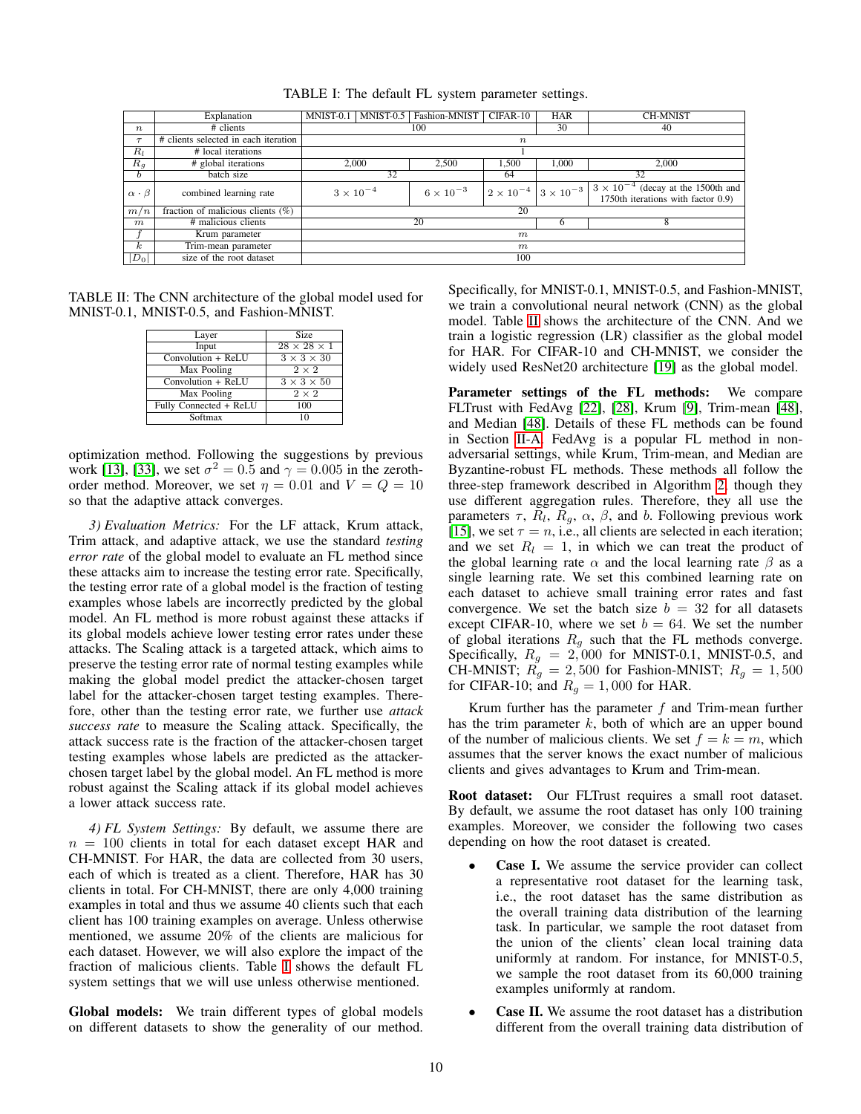<span id="page-9-0"></span>

|                      | Explanation                          | MNIST-0.1          | MNIST-0.5        | Fashion-MNIST      | CIFAR-10         | <b>HAR</b>                            | <b>CH-MNIST</b>                                                                   |
|----------------------|--------------------------------------|--------------------|------------------|--------------------|------------------|---------------------------------------|-----------------------------------------------------------------------------------|
| $\boldsymbol{n}$     | # clients                            |                    |                  | 100                |                  | 30                                    | 40                                                                                |
| $\tau$               | # clients selected in each iteration |                    |                  |                    | $\boldsymbol{n}$ |                                       |                                                                                   |
| $R_l$                | # local iterations                   |                    |                  |                    |                  |                                       |                                                                                   |
| $R_q$                | # global iterations                  | 2.000              |                  | 2,500              | 1,500            | 1,000                                 | 2,000                                                                             |
| b.                   | batch size                           | 32                 |                  |                    | 64               |                                       | 32                                                                                |
| $\alpha \cdot \beta$ | combined learning rate               | $3 \times 10^{-4}$ |                  | $6 \times 10^{-3}$ |                  | $2 \times 10^{-4}$ $3 \times 10^{-3}$ | $3 \times 10^{-4}$ (decay at the 1500th and<br>1750th iterations with factor 0.9) |
| m/n                  | fraction of malicious clients $(\%)$ |                    |                  |                    | 20               |                                       |                                                                                   |
| $\boldsymbol{m}$     | # malicious clients                  |                    |                  | 20                 |                  | h                                     | 8                                                                                 |
|                      | Krum parameter                       |                    | m                |                    |                  |                                       |                                                                                   |
| $\kappa$             | Trim-mean parameter                  |                    | $\boldsymbol{m}$ |                    |                  |                                       |                                                                                   |
| $ D_0 $              | size of the root dataset             |                    |                  |                    | 100              |                                       |                                                                                   |

TABLE I: The default FL system parameter settings.

<span id="page-9-1"></span>TABLE II: The CNN architecture of the global model used for MNIST-0.1, MNIST-0.5, and Fashion-MNIST.

| Layer                  | <b>Size</b>             |
|------------------------|-------------------------|
| Input                  | $28 \times 28 \times 1$ |
| Convolution + ReLU     | $3 \times 3 \times 30$  |
| Max Pooling            | $2 \times 2$            |
| Convolution + ReLU     | $3 \times 3 \times 50$  |
| Max Pooling            | $2 \times 2$            |
| Fully Connected + ReLU | 100                     |
| Softmax                |                         |

optimization method. Following the suggestions by previous work [\[13\]](#page-14-25), [\[33\]](#page-14-26), we set  $\sigma^2 = 0.5$  and  $\gamma = 0.005$  in the zerothorder method. Moreover, we set  $\eta = 0.01$  and  $V = Q = 10$ so that the adaptive attack converges.

*3) Evaluation Metrics:* For the LF attack, Krum attack, Trim attack, and adaptive attack, we use the standard *testing error rate* of the global model to evaluate an FL method since these attacks aim to increase the testing error rate. Specifically, the testing error rate of a global model is the fraction of testing examples whose labels are incorrectly predicted by the global model. An FL method is more robust against these attacks if its global models achieve lower testing error rates under these attacks. The Scaling attack is a targeted attack, which aims to preserve the testing error rate of normal testing examples while making the global model predict the attacker-chosen target label for the attacker-chosen target testing examples. Therefore, other than the testing error rate, we further use *attack success rate* to measure the Scaling attack. Specifically, the attack success rate is the fraction of the attacker-chosen target testing examples whose labels are predicted as the attackerchosen target label by the global model. An FL method is more robust against the Scaling attack if its global model achieves a lower attack success rate.

*4) FL System Settings:* By default, we assume there are  $n = 100$  clients in total for each dataset except HAR and CH-MNIST. For HAR, the data are collected from 30 users, each of which is treated as a client. Therefore, HAR has 30 clients in total. For CH-MNIST, there are only 4,000 training examples in total and thus we assume 40 clients such that each client has 100 training examples on average. Unless otherwise mentioned, we assume 20% of the clients are malicious for each dataset. However, we will also explore the impact of the fraction of malicious clients. Table [I](#page-9-0) shows the default FL system settings that we will use unless otherwise mentioned.

Global models: We train different types of global models on different datasets to show the generality of our method.

Specifically, for MNIST-0.1, MNIST-0.5, and Fashion-MNIST, we train a convolutional neural network (CNN) as the global model. Table [II](#page-9-1) shows the architecture of the CNN. And we train a logistic regression (LR) classifier as the global model for HAR. For CIFAR-10 and CH-MNIST, we consider the widely used ResNet20 architecture [\[19\]](#page-14-31) as the global model.

Parameter settings of the FL methods: We compare FLTrust with FedAvg [\[22\]](#page-14-0), [\[28\]](#page-14-1), Krum [\[9\]](#page-14-10), Trim-mean [\[48\]](#page-15-1), and Median [\[48\]](#page-15-1). Details of these FL methods can be found in Section [II-A.](#page-1-1) FedAvg is a popular FL method in nonadversarial settings, while Krum, Trim-mean, and Median are Byzantine-robust FL methods. These methods all follow the three-step framework described in Algorithm [2,](#page-5-0) though they use different aggregation rules. Therefore, they all use the parameters  $\tau$ ,  $R_l$ ,  $R_g$ ,  $\alpha$ ,  $\beta$ , and b. Following previous work [\[15\]](#page-14-7), we set  $\tau = n$ , i.e., all clients are selected in each iteration; and we set  $R_l = 1$ , in which we can treat the product of the global learning rate  $\alpha$  and the local learning rate  $\beta$  as a single learning rate. We set this combined learning rate on each dataset to achieve small training error rates and fast convergence. We set the batch size  $b = 32$  for all datasets except CIFAR-10, where we set  $b = 64$ . We set the number of global iterations  $R_g$  such that the FL methods converge. Specifically,  $R_g = 2,000$  for MNIST-0.1, MNIST-0.5, and CH-MNIST;  $R_g = 2,500$  for Fashion-MNIST;  $R_g = 1,500$ for CIFAR-10; and  $R_g = 1,000$  for HAR.

Krum further has the parameter  $f$  and Trim-mean further has the trim parameter  $k$ , both of which are an upper bound of the number of malicious clients. We set  $f = k = m$ , which assumes that the server knows the exact number of malicious clients and gives advantages to Krum and Trim-mean.

Root dataset: Our FLTrust requires a small root dataset. By default, we assume the root dataset has only 100 training examples. Moreover, we consider the following two cases depending on how the root dataset is created.

- Case I. We assume the service provider can collect a representative root dataset for the learning task, i.e., the root dataset has the same distribution as the overall training data distribution of the learning task. In particular, we sample the root dataset from the union of the clients' clean local training data uniformly at random. For instance, for MNIST-0.5, we sample the root dataset from its 60,000 training examples uniformly at random.
- Case II. We assume the root dataset has a distribution different from the overall training data distribution of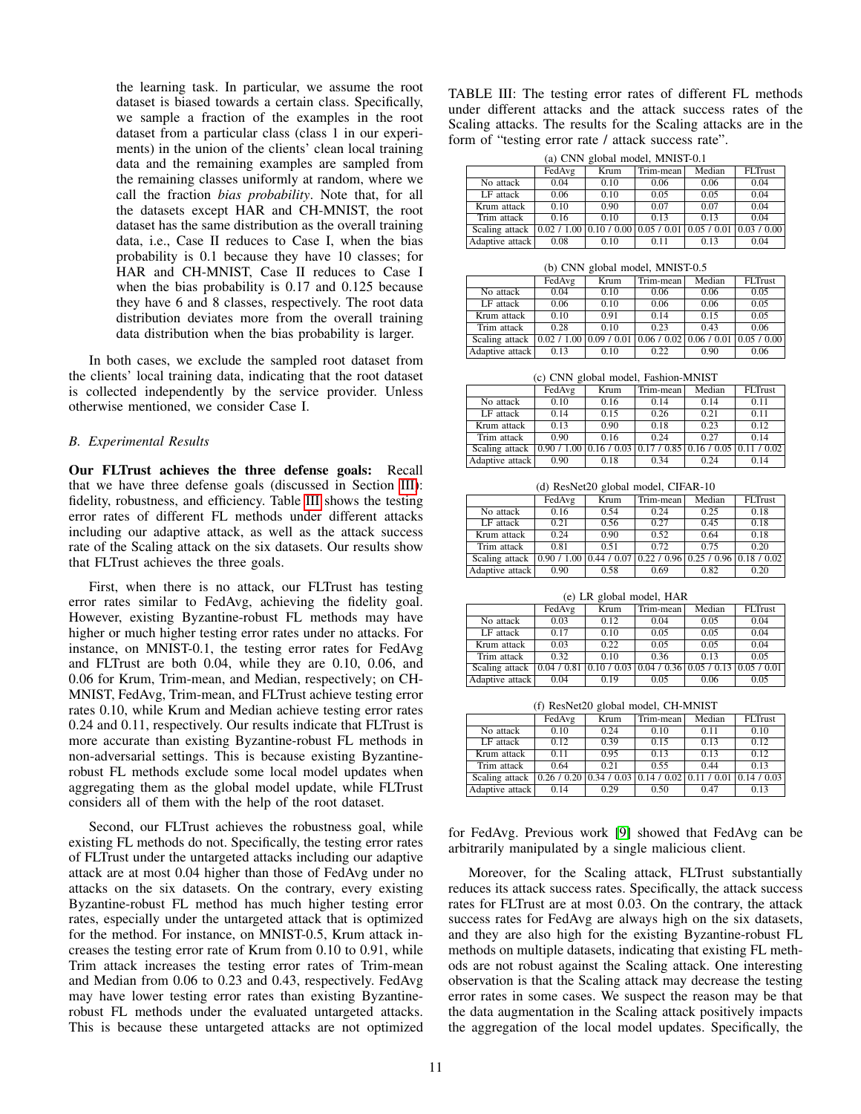the learning task. In particular, we assume the root dataset is biased towards a certain class. Specifically, we sample a fraction of the examples in the root dataset from a particular class (class 1 in our experiments) in the union of the clients' clean local training data and the remaining examples are sampled from the remaining classes uniformly at random, where we call the fraction *bias probability*. Note that, for all the datasets except HAR and CH-MNIST, the root dataset has the same distribution as the overall training data, i.e., Case II reduces to Case I, when the bias probability is 0.1 because they have 10 classes; for HAR and CH-MNIST, Case II reduces to Case I when the bias probability is 0.17 and 0.125 because they have 6 and 8 classes, respectively. The root data distribution deviates more from the overall training data distribution when the bias probability is larger.

In both cases, we exclude the sampled root dataset from the clients' local training data, indicating that the root dataset is collected independently by the service provider. Unless otherwise mentioned, we consider Case I.

# <span id="page-10-0"></span>*B. Experimental Results*

Our FLTrust achieves the three defense goals: Recall that we have three defense goals (discussed in Section [III\)](#page-3-0): fidelity, robustness, and efficiency. Table [III](#page-10-1) shows the testing error rates of different FL methods under different attacks including our adaptive attack, as well as the attack success rate of the Scaling attack on the six datasets. Our results show that FLTrust achieves the three goals.

First, when there is no attack, our FLTrust has testing error rates similar to FedAvg, achieving the fidelity goal. However, existing Byzantine-robust FL methods may have higher or much higher testing error rates under no attacks. For instance, on MNIST-0.1, the testing error rates for FedAvg and FLTrust are both 0.04, while they are 0.10, 0.06, and 0.06 for Krum, Trim-mean, and Median, respectively; on CH-MNIST, FedAvg, Trim-mean, and FLTrust achieve testing error rates 0.10, while Krum and Median achieve testing error rates 0.24 and 0.11, respectively. Our results indicate that FLTrust is more accurate than existing Byzantine-robust FL methods in non-adversarial settings. This is because existing Byzantinerobust FL methods exclude some local model updates when aggregating them as the global model update, while FLTrust considers all of them with the help of the root dataset.

Second, our FLTrust achieves the robustness goal, while existing FL methods do not. Specifically, the testing error rates of FLTrust under the untargeted attacks including our adaptive attack are at most 0.04 higher than those of FedAvg under no attacks on the six datasets. On the contrary, every existing Byzantine-robust FL method has much higher testing error rates, especially under the untargeted attack that is optimized for the method. For instance, on MNIST-0.5, Krum attack increases the testing error rate of Krum from 0.10 to 0.91, while Trim attack increases the testing error rates of Trim-mean and Median from 0.06 to 0.23 and 0.43, respectively. FedAvg may have lower testing error rates than existing Byzantinerobust FL methods under the evaluated untargeted attacks. This is because these untargeted attacks are not optimized TABLE III: The testing error rates of different FL methods under different attacks and the attack success rates of the Scaling attacks. The results for the Scaling attacks are in the form of "testing error rate / attack success rate".

(a) CNN global model, MNIST-0.1

|                 | (a) CIVIV giudai model, iviivid I-0.1 |                                                                       |           |        |                |  |  |  |  |
|-----------------|---------------------------------------|-----------------------------------------------------------------------|-----------|--------|----------------|--|--|--|--|
|                 | FedAvg                                | Krum                                                                  | Trim-mean | Median | <b>FLTrust</b> |  |  |  |  |
| No attack       | 0.04                                  | 0.10                                                                  | 0.06      | 0.06   | 0.04           |  |  |  |  |
| LF attack       | 0.06                                  | 0.10                                                                  | 0.05      | 0.05   | 0.04           |  |  |  |  |
| Krum attack     | 0.10                                  | 0.90                                                                  | 0.07      | 0.07   | 0.04           |  |  |  |  |
| Trim attack     | 0.16                                  | 0.10                                                                  | 0.13      | 0.13   | 0.04           |  |  |  |  |
| Scaling attack  |                                       | $0.02 / 1.00   0.10 / 0.00   0.05 / 0.01   0.05 / 0.01   0.03 / 0.00$ |           |        |                |  |  |  |  |
| Adaptive attack | 0.08                                  | 0.10                                                                  | 0.11      | 0.13   | 0.04           |  |  |  |  |

(b) CNN global model, MNIST-0.5

|                         | FedAvg | Krum                      | Trim-mean | Median                                    | FLTrust |  |  |  |  |
|-------------------------|--------|---------------------------|-----------|-------------------------------------------|---------|--|--|--|--|
| No attack               | 0.04   | 0.10                      | 0.06      | 0.06                                      | 0.05    |  |  |  |  |
| LF attack               | 0.06   | 0.10                      | 0.06      | 0.06                                      | 0.05    |  |  |  |  |
| Krum attack             | 0.10   | 0.91                      | 0.14      | 0.15                                      | 0.05    |  |  |  |  |
| Trim attack             | 0.28   | 0.10                      | 0.23      | 0.43                                      | 0.06    |  |  |  |  |
| Scaling attack          |        | 0.02 / 1.00   0.09 / 0.01 |           | $0.06 / 0.02   0.06 / 0.01   0.05 / 0.00$ |         |  |  |  |  |
| Adaptive attack<br>0.13 |        | 0.10                      | 0.22      | 0.90                                      | 0.06    |  |  |  |  |

(c) CNN global model, Fashion-MNIST

|                 | FedAvg | Krum | Trim-mean                                                          | Median | <b>FLTrust</b> |
|-----------------|--------|------|--------------------------------------------------------------------|--------|----------------|
| No attack       | 0.10   | 0.16 | 0.14                                                               | 0.14   | 0.11           |
| LF attack       | 0.14   | 0.15 | 0.26                                                               | 0.21   | 0.11           |
| Krum attack     | 0.13   | 0.90 | 0.18                                                               | 0.23   | 0.12           |
| Trim attack     | 0.90   | 0.16 | 0.24                                                               | 0.27   | 014            |
| Scaling attack  |        |      | $(0.90 / 1.00) 0.16 / 0.03) 0.17 / 0.85) 0.16 / 0.05) 0.11 / 0.02$ |        |                |
| Adaptive attack | 0.90   | 0.18 | 0.34                                                               | 0.24   | 0.14           |

(d) ResNet20 global model, CIFAR-10

|                 | FedAvg                                                                        | Krum | Trim-mean | Median | <b>FLTrust</b> |  |
|-----------------|-------------------------------------------------------------------------------|------|-----------|--------|----------------|--|
| No attack       | 0.16                                                                          | 0.54 | 0.24      | 0.25   | 0.18           |  |
| LF attack       | 0.21                                                                          | 0.56 | 0.27      | 0.45   | 0.18           |  |
| Krum attack     | 0.24                                                                          | 0.90 | 0.52      | 0.64   | 0.18           |  |
| Trim attack     | 0.81                                                                          | 0.51 | 0.72      | 0.75   | 0.20           |  |
| Scaling attack  | $0.90 / 1.00   0.44 / 0.07   0.22 / 0.96   0.25 / 0.96   0.18 / 0.02$<br>0.90 |      |           |        |                |  |
| Adaptive attack |                                                                               |      | 0.69      | 0.82   | 0.20           |  |

(e) LR global model, HAR

|                 | FedAvg      | Krum        | Trim-mean                                               | Median | <b>FLTrust</b> |  |
|-----------------|-------------|-------------|---------------------------------------------------------|--------|----------------|--|
| No attack       | 0.03        | 0.12        | 0.04                                                    | 0.05   | 0.04           |  |
| LF attack       | 0.17        | 0.10        | 0.05                                                    | 0.05   | 0.04           |  |
| Krum attack     | 0.03        | 0.22        | 0.05                                                    | 0.05   | 0.04           |  |
| Trim attack     | 0.32        | 0.10        | 0.36                                                    | 0.13   | 0.05           |  |
| Scaling attack  | 0.04 / 0.81 | 0.10 / 0.03 | $\left[0.04\ /0.36\right]0.05\ /0.13\right]0.05\ /0.01$ |        |                |  |
| Adaptive attack | 0.04        | 0.19        | 0.05                                                    | 0.06   | 0.05           |  |

(f) ResNet20 global model, CH-MNIST

<span id="page-10-1"></span>

|                                                                                                                     | FedAvg | Krum | Trim-mean | Median | <b>FLTrust</b> |  |  |  |
|---------------------------------------------------------------------------------------------------------------------|--------|------|-----------|--------|----------------|--|--|--|
| No attack                                                                                                           | 0.10   | 0.24 | 0.10      | 0.11   | 0.10           |  |  |  |
| LF attack                                                                                                           | 0.12   | 0.39 | 0.15      | 0.13   | 0.12           |  |  |  |
| Krum attack                                                                                                         | 0.11   | 0.95 | 0.13      | 0.13   | 0.12           |  |  |  |
| Trim attack                                                                                                         | 0.64   | 0.21 | 0.55      | 0.44   | 0.13           |  |  |  |
| Scaling attack $\left[0.26 / 0.20\right] 0.34 / 0.03 \left[0.14 / 0.02\right] 0.11 / 0.01 \left[0.14 / 0.03\right]$ |        |      |           |        |                |  |  |  |
| Adaptive attack                                                                                                     | 0.14   | 0.29 | 0.50      | 0.47   | 0.13           |  |  |  |

for FedAvg. Previous work [\[9\]](#page-14-10) showed that FedAvg can be arbitrarily manipulated by a single malicious client.

Moreover, for the Scaling attack, FLTrust substantially reduces its attack success rates. Specifically, the attack success rates for FLTrust are at most 0.03. On the contrary, the attack success rates for FedAvg are always high on the six datasets, and they are also high for the existing Byzantine-robust FL methods on multiple datasets, indicating that existing FL methods are not robust against the Scaling attack. One interesting observation is that the Scaling attack may decrease the testing error rates in some cases. We suspect the reason may be that the data augmentation in the Scaling attack positively impacts the aggregation of the local model updates. Specifically, the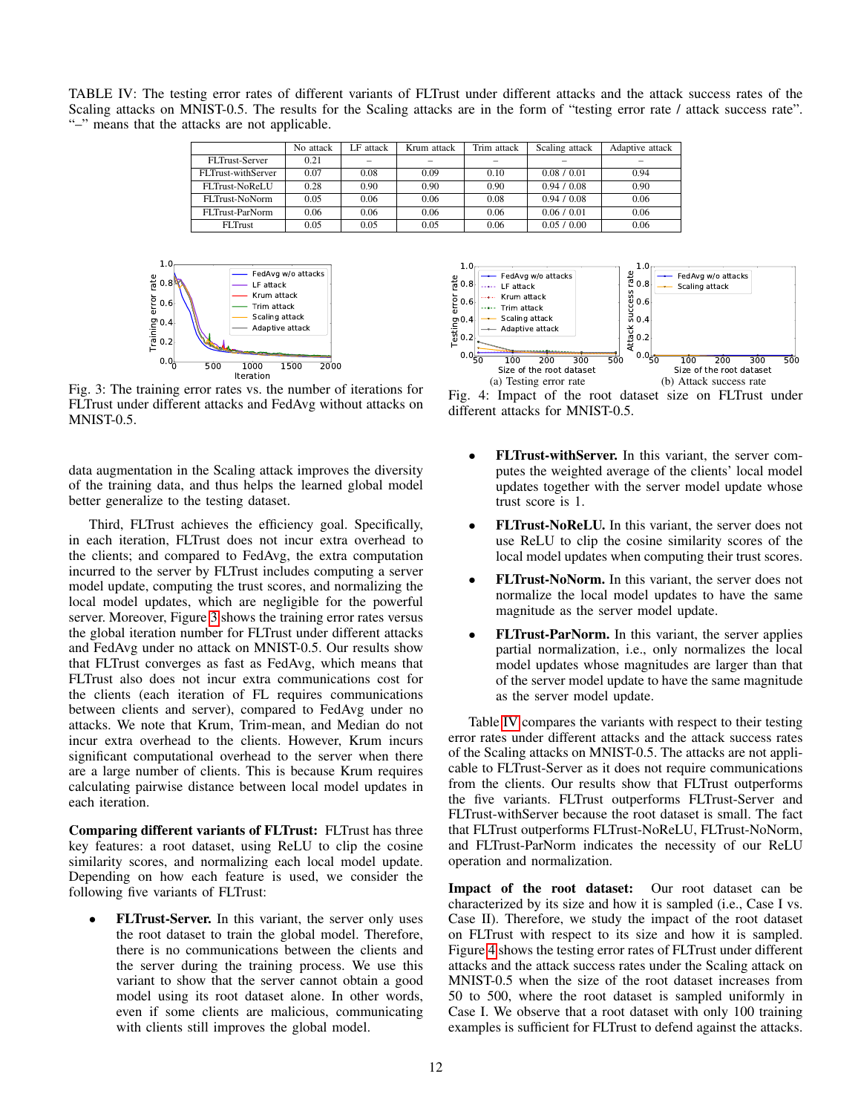<span id="page-11-1"></span>TABLE IV: The testing error rates of different variants of FLTrust under different attacks and the attack success rates of the Scaling attacks on MNIST-0.5. The results for the Scaling attacks are in the form of "testing error rate / attack success rate". "–" means that the attacks are not applicable.

|                    | No attack | F attack | Krum attack | Trim attack | Scaling attack | Adaptive attack |
|--------------------|-----------|----------|-------------|-------------|----------------|-----------------|
| FLTrust-Server     | 0.21      |          |             |             |                |                 |
| FLTrust-withServer | 0.07      | 0.08     | 0.09        | 0.10        | 0.08 / 0.01    | 0.94            |
| FLTrust-NoReLU     | 0.28      | 0.90     | 0.90        | 0.90        | 0.94 / 0.08    | 0.90            |
| FLTrust-NoNorm     | 0.05      | 0.06     | 0.06        | 0.08        | 0.94 / 0.08    | 0.06            |
| FLTrust-ParNorm    | 0.06      | 0.06     | 0.06        | 0.06        | 0.06 / 0.01    | 0.06            |
| <b>FLTrust</b>     | 0.05      | 0.05     | 0.05        | 0.06        | 0.05 / 0.00    | 0.06            |

<span id="page-11-0"></span>

Fig. 3: The training error rates vs. the number of iterations for FLTrust under different attacks and FedAvg without attacks on MNIST-0.5.

data augmentation in the Scaling attack improves the diversity of the training data, and thus helps the learned global model better generalize to the testing dataset.

Third, FLTrust achieves the efficiency goal. Specifically, in each iteration, FLTrust does not incur extra overhead to the clients; and compared to FedAvg, the extra computation incurred to the server by FLTrust includes computing a server model update, computing the trust scores, and normalizing the local model updates, which are negligible for the powerful server. Moreover, Figure [3](#page-11-0) shows the training error rates versus the global iteration number for FLTrust under different attacks and FedAvg under no attack on MNIST-0.5. Our results show that FLTrust converges as fast as FedAvg, which means that FLTrust also does not incur extra communications cost for the clients (each iteration of FL requires communications between clients and server), compared to FedAvg under no attacks. We note that Krum, Trim-mean, and Median do not incur extra overhead to the clients. However, Krum incurs significant computational overhead to the server when there are a large number of clients. This is because Krum requires calculating pairwise distance between local model updates in each iteration. with clients still improves the global model. 50 100 200 300 500

Comparing different variants of FLTrust: FLTrust has three key features: a root dataset, using ReLU to clip the cosine similarity scores, and normalizing each local model update. Depending on how each feature is used, we consider the following five variants of FLTrust:

• FLTrust-Server. In this variant, the server only uses the root dataset to train the global model. Therefore, there is no communications between the clients and the server during the training process. We use this variant to show that the server cannot obtain a good model using its root dataset alone. In other words, even if some clients are malicious, communicating

<span id="page-11-2"></span>



- FLTrust-withServer. In this variant, the server computes the weighted average of the clients' local model updates together with the server model update whose trust score is 1.
- FLTrust-NoReLU. In this variant, the server does not use ReLU to clip the cosine similarity scores of the local model updates when computing their trust scores.
- FLTrust-NoNorm. In this variant, the server does not normalize the local model updates to have the same magnitude as the server model update.
- FLTrust-ParNorm. In this variant, the server applies partial normalization, i.e., only normalizes the local model updates whose magnitudes are larger than that of the server model update to have the same magnitude as the server model update.

Table [IV](#page-11-1) compares the variants with respect to their testing error rates under different attacks and the attack success rates of the Scaling attacks on MNIST-0.5. The attacks are not applicable to FLTrust-Server as it does not require communications from the clients. Our results show that FLTrust outperforms the five variants. FLTrust outperforms FLTrust-Server and FLTrust-withServer because the root dataset is small. The fact that FLTrust outperforms FLTrust-NoReLU, FLTrust-NoNorm, and FLTrust-ParNorm indicates the necessity of our ReLU operation and normalization.

Impact of the root dataset: Our root dataset can be characterized by its size and how it is sampled (i.e., Case I vs. Case II). Therefore, we study the impact of the root dataset on FLTrust with respect to its size and how it is sampled. Figure [4](#page-11-2) shows the testing error rates of FLTrust under different attacks and the attack success rates under the Scaling attack on MNIST-0.5 when the size of the root dataset increases from 50 to 500, where the root dataset is sampled uniformly in Case I. We observe that a root dataset with only 100 training examples is sufficient for FLTrust to defend against the attacks.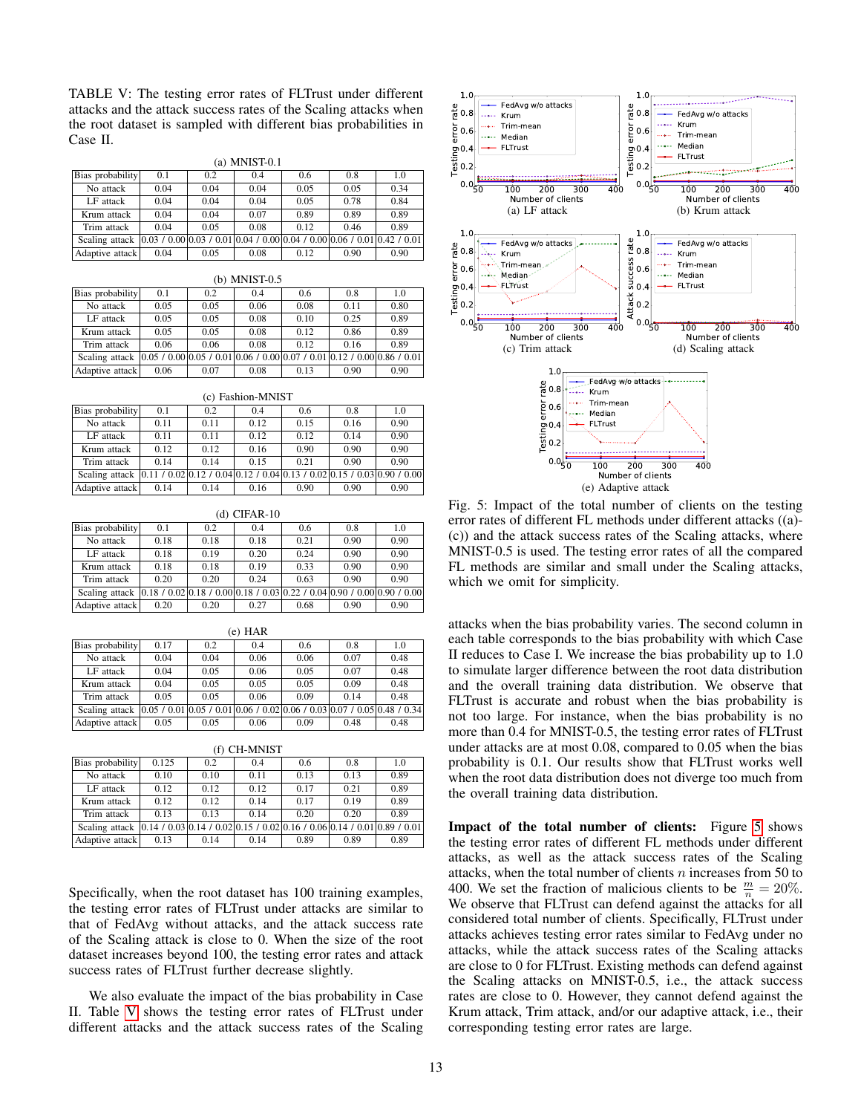TABLE V: The testing error rates of FLTrust under different attacks and the attack success rates of the Scaling attacks when the root dataset is sampled with different bias probabilities in Case II.

<span id="page-12-1"></span>(a) MNIST-0.1

| Bias probability                                                                                     | 0.1  | 0.2  | 0.4  | 0.6  | 0.8  | 1.0  |
|------------------------------------------------------------------------------------------------------|------|------|------|------|------|------|
| No attack                                                                                            | 0.04 | 0.04 | 0.04 | 0.05 | 0.05 | 0.34 |
| LF attack                                                                                            | 0.04 | 0.04 | 0.04 | 0.05 | 0.78 | 0.84 |
| Krum attack                                                                                          | 0.04 | 0.04 | 0.07 | 0.89 | 0.89 | 0.89 |
| Trim attack                                                                                          | 0.04 | 0.05 | 0.08 | 0.12 | 0.46 | 0.89 |
| Scaling attack $(0.03 / 0.00   0.03 / 0.01   0.04 / 0.00   0.04 / 0.00   0.06 / 0.01   0.42 / 0.01)$ |      |      |      |      |      |      |
| Adaptive attack                                                                                      | 0.04 | 0.05 | 0.08 | 0.12 | 0.90 | 0.90 |

| (b) MNIST-0.5    |                                                                                     |      |      |      |      |      |  |  |  |  |
|------------------|-------------------------------------------------------------------------------------|------|------|------|------|------|--|--|--|--|
| Bias probability | 0.1                                                                                 | 0.2  | 0.4  | 0.6  | 0.8  | 1.0  |  |  |  |  |
| No attack        | 0.05                                                                                | 0.05 | 0.06 | 0.08 | 0.11 | 0.80 |  |  |  |  |
| LF attack        | 0.05                                                                                | 0.05 | 0.08 | 0.10 | 0.25 | 0.89 |  |  |  |  |
| Krum attack      | 0.05                                                                                | 0.05 | 0.08 | 0.12 | 0.86 | 0.89 |  |  |  |  |
| Trim attack      | 0.06                                                                                | 0.06 | 0.08 | 0.12 | 0.16 | 0.89 |  |  |  |  |
| Scaling attack   | $[0.05 / 0.00]$ 0.05 / 0.01 $[0.06 / 0.00]$ 0.07 / 0.01 $[0.12 / 0.00]$ 0.86 / 0.01 |      |      |      |      |      |  |  |  |  |
| Adaptive attack  | 0.06                                                                                | 0.07 | 0.08 | 0.13 | 0.90 | 0.90 |  |  |  |  |

|                                                                                                     | (c) Fashion-MNIST |      |      |      |      |      |  |  |  |  |  |
|-----------------------------------------------------------------------------------------------------|-------------------|------|------|------|------|------|--|--|--|--|--|
| Bias probability                                                                                    | 0.1               | 0.2  | 0.4  | 0.6  | 0.8  | 1.0  |  |  |  |  |  |
| No attack                                                                                           | 0.11              | 0.11 | 0.12 | 0.15 | 0.16 | 0.90 |  |  |  |  |  |
| LF attack                                                                                           | 0.11              | 0.11 | 0.12 | 0.12 | 0.14 | 0.90 |  |  |  |  |  |
| Krum attack                                                                                         | 0.12              | 0.12 | 0.16 | 0.90 | 0.90 | 0.90 |  |  |  |  |  |
| Trim attack                                                                                         | 0.14              | 0.14 | 0.15 | 0.21 | 0.90 | 0.90 |  |  |  |  |  |
| Scaling attack $ 0.11 / 0.02   0.12 / 0.04   0.12 / 0.04   0.13 / 0.02   0.15 / 0.03   0.90 / 0.00$ |                   |      |      |      |      |      |  |  |  |  |  |
| Adaptive attack                                                                                     | 0.14              | 0.14 | 0.16 | 0.90 | 0.90 | 0.90 |  |  |  |  |  |

| (d) CIFAR-10     |                                                                            |      |      |      |      |      |  |
|------------------|----------------------------------------------------------------------------|------|------|------|------|------|--|
| Bias probability | 0.1                                                                        | 0.2  | 0.4  | 0.6  | 0.8  | 1.0  |  |
| No attack        | 0.18                                                                       | 0.18 | 0.18 | 0.21 | 0.90 | 0.90 |  |
| LF attack        | 0.18                                                                       | 0.19 | 0.20 | 0.24 | 0.90 | 0.90 |  |
| Krum attack      | 0.18                                                                       | 0.18 | 0.19 | 0.33 | 0.90 | 0.90 |  |
| Trim attack      | 0.20                                                                       | 0.20 | 0.24 | 0.63 | 0.90 | 0.90 |  |
| Scaling attack   | $[0.18 / 0.02]0.18 / 0.00]0.18 / 0.03]0.22 / 0.04]0.90 / 0.00]0.90 / 0.00$ |      |      |      |      |      |  |
| Adaptive attack  | 0.20                                                                       | 0.20 | 0.27 | 0.68 | 0.90 | 0.90 |  |

| (e) HAR                                                                       |      |      |      |      |      |      |  |
|-------------------------------------------------------------------------------|------|------|------|------|------|------|--|
| Bias probability                                                              | 0.17 | 0.2  | 0.4  | 0.6  | 0.8  | 1.0  |  |
| No attack                                                                     | 0.04 | 0.04 | 0.06 | 0.06 | 0.07 | 0.48 |  |
| LF attack                                                                     | 0.04 | 0.05 | 0.06 | 0.05 | 0.07 | 0.48 |  |
| Krum attack                                                                   | 0.04 | 0.05 | 0.05 | 0.05 | 0.09 | 0.48 |  |
| Trim attack                                                                   | 0.05 | 0.05 | 0.06 | 0.09 | 0.14 | 0.48 |  |
| Scaling attack $ 0.05/0.01 0.05/0.01 0.06/0.02 0.06/0.03 0.07/0.05 0.48/0.34$ |      |      |      |      |      |      |  |
| Adaptive attack                                                               | 0.05 | 0.05 | 0.06 | 0.09 | 0.48 | 0.48 |  |

(f) CH-MNIST

<span id="page-12-0"></span>

| Bias probability                                                                                    | 0.125 | 0.2  | 0.4  | 0.6  | 0.8  | 1.0  |
|-----------------------------------------------------------------------------------------------------|-------|------|------|------|------|------|
| No attack                                                                                           | 0.10  | 0.10 | 0.11 | 0.13 | 0.13 | 0.89 |
| LF attack                                                                                           | 0.12  | 0.12 | 0.12 | 0.17 | 0.21 | 0.89 |
| Krum attack                                                                                         | 0.12  | 0.12 | 0.14 | 0.17 | 0.19 | 0.89 |
| Trim attack                                                                                         | 0.13  | 0.13 | 0.14 | 0.20 | 0.20 | 0.89 |
| Scaling attack $ 0.14 / 0.03   0.14 / 0.02   0.15 / 0.02   0.16 / 0.06   0.14 / 0.01   0.89 / 0.01$ |       |      |      |      |      |      |
| Adaptive attack                                                                                     | 0.13  | 0.14 | 0.14 | 0.89 | 0.89 | 0.89 |

Specifically, when the root dataset has 100 training examples, the testing error rates of FLTrust under attacks are similar to that of FedAvg without attacks, and the attack success rate of the Scaling attack is close to 0. When the size of the root dataset increases beyond 100, the testing error rates and attack success rates of FLTrust further decrease slightly.

We also evaluate the impact of the bias probability in Case II. Table [V](#page-12-0) shows the testing error rates of FLTrust under



Fig. 5: Impact of the total number of clients on the testing error rates of different FL methods under different attacks ((a)- (c)) and the attack success rates of the Scaling attacks, where MNIST-0.5 is used. The testing error rates of all the compared FL methods are similar and small under the Scaling attacks, which we omit for simplicity.

attacks when the bias probability varies. The second column in each table corresponds to the bias probability with which Case II reduces to Case I. We increase the bias probability up to 1.0 to simulate larger difference between the root data distribution and the overall training data distribution. We observe that FLTrust is accurate and robust when the bias probability is not too large. For instance, when the bias probability is no more than 0.4 for MNIST-0.5, the testing error rates of FLTrust under attacks are at most 0.08, compared to 0.05 when the bias probability is 0.1. Our results show that FLTrust works well when the root data distribution does not diverge too much from the overall training data distribution.

Impact of the total number of clients: Figure [5](#page-12-1) shows the testing error rates of different FL methods under different attacks, as well as the attack success rates of the Scaling attacks, when the total number of clients  $n$  increases from 50 to 400. We set the fraction of malicious clients to be  $\frac{m}{n} = 20\%$ . We observe that FLTrust can defend against the attacks for all considered total number of clients. Specifically, FLTrust under attacks achieves testing error rates similar to FedAvg under no attacks, while the attack success rates of the Scaling attacks are close to 0 for FLTrust. Existing methods can defend against the Scaling attacks on MNIST-0.5, i.e., the attack success rates are close to 0. However, they cannot defend against the Krum attack, Trim attack, and/or our adaptive attack, i.e., their corresponding testing error rates are large.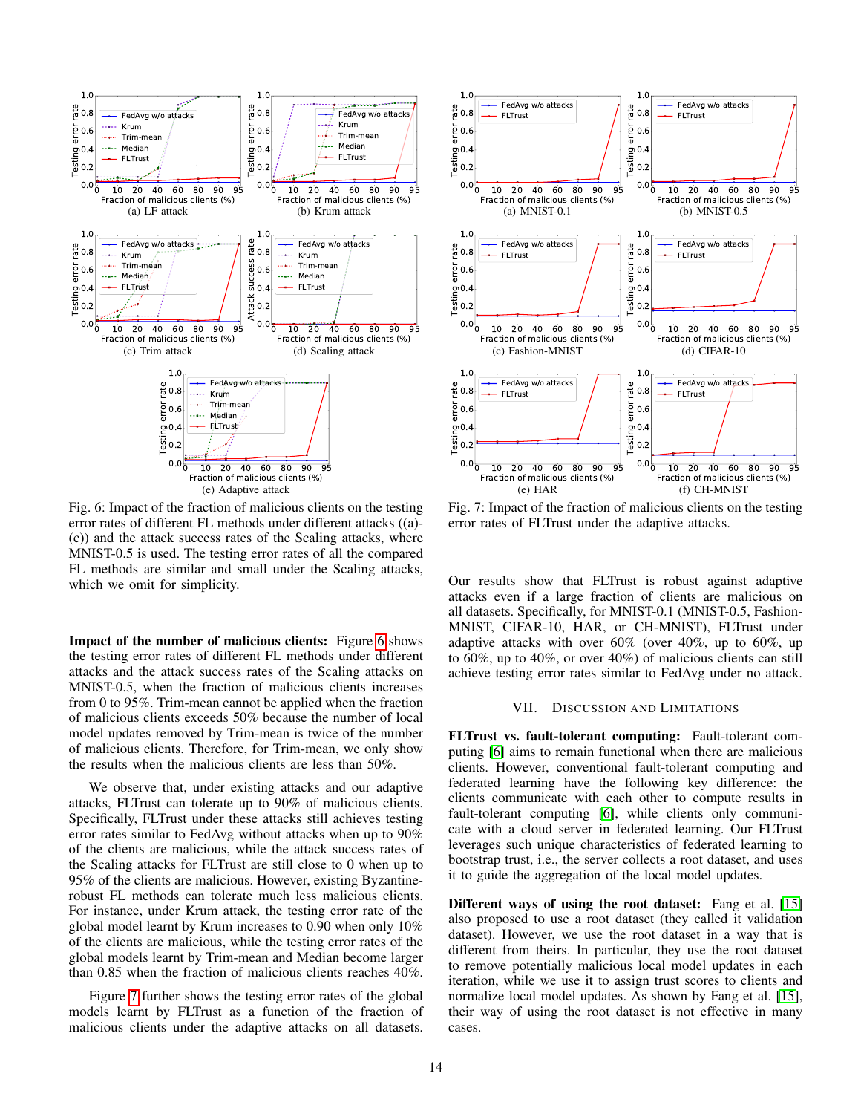<span id="page-13-0"></span>

Fig. 6: Impact of the fraction of malicious clients on the testing error rates of different FL methods under different attacks ((a)- (c)) and the attack success rates of the Scaling attacks, where MNIST-0.5 is used. The testing error rates of all the compared FL methods are similar and small under the Scaling attacks, which we omit for simplicity.

Impact of the number of malicious clients: Figure [6](#page-13-0) shows the testing error rates of different FL methods under different attacks and the attack success rates of the Scaling attacks on MNIST-0.5, when the fraction of malicious clients increases from 0 to 95%. Trim-mean cannot be applied when the fraction of malicious clients exceeds 50% because the number of local model updates removed by Trim-mean is twice of the number of malicious clients. Therefore, for Trim-mean, we only show the results when the malicious clients are less than 50%.

We observe that, under existing attacks and our adaptive attacks, FLTrust can tolerate up to 90% of malicious clients. Specifically, FLTrust under these attacks still achieves testing error rates similar to FedAvg without attacks when up to 90% of the clients are malicious, while the attack success rates of the Scaling attacks for FLTrust are still close to 0 when up to 95% of the clients are malicious. However, existing Byzantinerobust FL methods can tolerate much less malicious clients. For instance, under Krum attack, the testing error rate of the global model learnt by Krum increases to 0.90 when only 10% of the clients are malicious, while the testing error rates of the global models learnt by Trim-mean and Median become larger than 0.85 when the fraction of malicious clients reaches 40%.

Figure [7](#page-13-1) further shows the testing error rates of the global models learnt by FLTrust as a function of the fraction of

<span id="page-13-1"></span>

Fig. 7: Impact of the fraction of malicious clients on the testing error rates of FLTrust under the adaptive attacks.

Our results show that FLTrust is robust against adaptive attacks even if a large fraction of clients are malicious on all datasets. Specifically, for MNIST-0.1 (MNIST-0.5, Fashion-MNIST, CIFAR-10, HAR, or CH-MNIST), FLTrust under adaptive attacks with over 60% (over 40%, up to 60%, up to 60%, up to 40%, or over 40%) of malicious clients can still achieve testing error rates similar to FedAvg under no attack.

### VII. DISCUSSION AND LIMITATIONS

FLTrust vs. fault-tolerant computing: Fault-tolerant computing [\[6\]](#page-14-32) aims to remain functional when there are malicious clients. However, conventional fault-tolerant computing and federated learning have the following key difference: the clients communicate with each other to compute results in fault-tolerant computing [\[6\]](#page-14-32), while clients only communicate with a cloud server in federated learning. Our FLTrust leverages such unique characteristics of federated learning to bootstrap trust, i.e., the server collects a root dataset, and uses it to guide the aggregation of the local model updates.

Different ways of using the root dataset: Fang et al. [\[15\]](#page-14-7) also proposed to use a root dataset (they called it validation dataset). However, we use the root dataset in a way that is different from theirs. In particular, they use the root dataset to remove potentially malicious local model updates in each iteration, while we use it to assign trust scores to clients and normalize local model updates. As shown by Fang et al. [\[15\]](#page-14-7), their way of using the root dataset is not effective in many cases.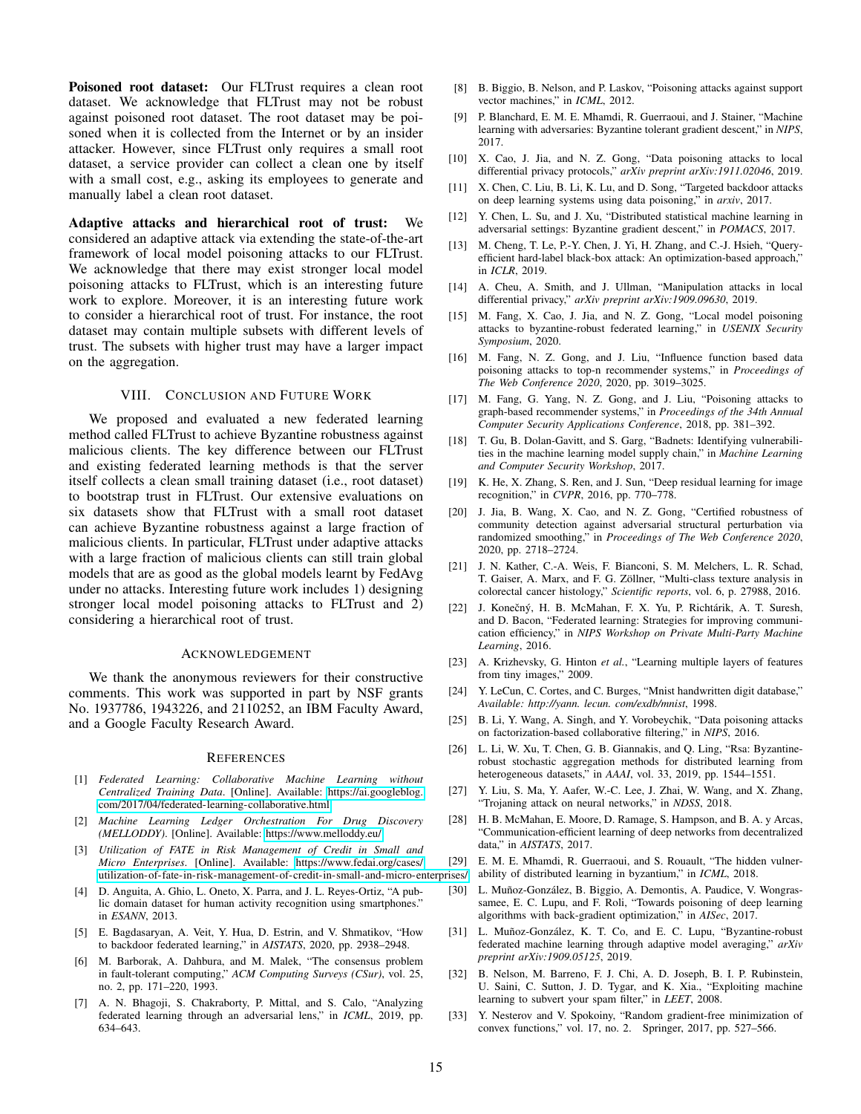Poisoned root dataset: Our FLTrust requires a clean root dataset. We acknowledge that FLTrust may not be robust against poisoned root dataset. The root dataset may be poisoned when it is collected from the Internet or by an insider attacker. However, since FLTrust only requires a small root dataset, a service provider can collect a clean one by itself with a small cost, e.g., asking its employees to generate and manually label a clean root dataset.

Adaptive attacks and hierarchical root of trust: We considered an adaptive attack via extending the state-of-the-art framework of local model poisoning attacks to our FLTrust. We acknowledge that there may exist stronger local model poisoning attacks to FLTrust, which is an interesting future work to explore. Moreover, it is an interesting future work to consider a hierarchical root of trust. For instance, the root dataset may contain multiple subsets with different levels of trust. The subsets with higher trust may have a larger impact on the aggregation.

## VIII. CONCLUSION AND FUTURE WORK

We proposed and evaluated a new federated learning method called FLTrust to achieve Byzantine robustness against malicious clients. The key difference between our FLTrust and existing federated learning methods is that the server itself collects a clean small training dataset (i.e., root dataset) to bootstrap trust in FLTrust. Our extensive evaluations on six datasets show that FLTrust with a small root dataset can achieve Byzantine robustness against a large fraction of malicious clients. In particular, FLTrust under adaptive attacks with a large fraction of malicious clients can still train global models that are as good as the global models learnt by FedAvg under no attacks. Interesting future work includes 1) designing stronger local model poisoning attacks to FLTrust and 2) considering a hierarchical root of trust.

### ACKNOWLEDGEMENT

We thank the anonymous reviewers for their constructive comments. This work was supported in part by NSF grants No. 1937786, 1943226, and 2110252, an IBM Faculty Award, and a Google Faculty Research Award.

### **REFERENCES**

- <span id="page-14-2"></span>[1] *Federated Learning: Collaborative Machine Learning without Centralized Training Data*. [Online]. Available: [https://ai.googleblog.](https://ai.googleblog.com/2017/04/federated-learning-collaborative.html) [com/2017/04/federated-learning-collaborative.html](https://ai.googleblog.com/2017/04/federated-learning-collaborative.html)
- <span id="page-14-4"></span>[2] *Machine Learning Ledger Orchestration For Drug Discovery (MELLODDY)*. [Online]. Available:<https://www.melloddy.eu/>
- <span id="page-14-3"></span>[3] *Utilization of FATE in Risk Management of Credit in Small and Micro Enterprises*. [Online]. Available: [https://www.fedai.org/cases/](https://www.fedai.org/cases/utilization-of-fate-in-risk-management-of-credit-in-small-and-micro-enterprises/) [utilization-of-fate-in-risk-management-of-credit-in-small-and-micro-enterprises/](https://www.fedai.org/cases/utilization-of-fate-in-risk-management-of-credit-in-small-and-micro-enterprises/)
- <span id="page-14-29"></span>[4] D. Anguita, A. Ghio, L. Oneto, X. Parra, and J. L. Reyes-Ortiz, "A public domain dataset for human activity recognition using smartphones." in *ESANN*, 2013.
- <span id="page-14-9"></span>[5] E. Bagdasaryan, A. Veit, Y. Hua, D. Estrin, and V. Shmatikov, "How to backdoor federated learning," in *AISTATS*, 2020, pp. 2938–2948.
- <span id="page-14-32"></span>[6] M. Barborak, A. Dahbura, and M. Malek, "The consensus problem in fault-tolerant computing," *ACM Computing Surveys (CSur)*, vol. 25, no. 2, pp. 171–220, 1993.
- <span id="page-14-8"></span>[7] A. N. Bhagoji, S. Chakraborty, P. Mittal, and S. Calo, "Analyzing federated learning through an adversarial lens," in *ICML*, 2019, pp. 634–643.
- <span id="page-14-5"></span>[8] B. Biggio, B. Nelson, and P. Laskov, "Poisoning attacks against support vector machines," in *ICML*, 2012.
- <span id="page-14-10"></span>[9] P. Blanchard, E. M. E. Mhamdi, R. Guerraoui, and J. Stainer, "Machine learning with adversaries: Byzantine tolerant gradient descent," in *NIPS*, 2017.
- <span id="page-14-23"></span>[10] X. Cao, J. Jia, and N. Z. Gong, "Data poisoning attacks to local differential privacy protocols," *arXiv preprint arXiv:1911.02046*, 2019.
- <span id="page-14-18"></span>[11] X. Chen, C. Liu, B. Li, K. Lu, and D. Song, "Targeted backdoor attacks on deep learning systems using data poisoning," in *arxiv*, 2017.
- <span id="page-14-11"></span>[12] Y. Chen, L. Su, and J. Xu, "Distributed statistical machine learning in adversarial settings: Byzantine gradient descent," in *POMACS*, 2017.
- <span id="page-14-25"></span>[13] M. Cheng, T. Le, P.-Y. Chen, J. Yi, H. Zhang, and C.-J. Hsieh, "Queryefficient hard-label black-box attack: An optimization-based approach," in *ICLR*, 2019.
- <span id="page-14-24"></span>[14] A. Cheu, A. Smith, and J. Ullman, "Manipulation attacks in local differential privacy," *arXiv preprint arXiv:1909.09630*, 2019.
- <span id="page-14-7"></span>[15] M. Fang, X. Cao, J. Jia, and N. Z. Gong, "Local model poisoning attacks to byzantine-robust federated learning," in *USENIX Security Symposium*, 2020.
- <span id="page-14-15"></span>[16] M. Fang, N. Z. Gong, and J. Liu, "Influence function based data poisoning attacks to top-n recommender systems," in *Proceedings of The Web Conference 2020*, 2020, pp. 3019–3025.
- <span id="page-14-16"></span>[17] M. Fang, G. Yang, N. Z. Gong, and J. Liu, "Poisoning attacks to graph-based recommender systems," in *Proceedings of the 34th Annual Computer Security Applications Conference*, 2018, pp. 381–392.
- <span id="page-14-19"></span>[18] T. Gu, B. Dolan-Gavitt, and S. Garg, "Badnets: Identifying vulnerabilities in the machine learning model supply chain," in *Machine Learning and Computer Security Workshop*, 2017.
- <span id="page-14-31"></span>[19] K. He, X. Zhang, S. Ren, and J. Sun, "Deep residual learning for image recognition," in *CVPR*, 2016, pp. 770–778.
- <span id="page-14-22"></span>[20] J. Jia, B. Wang, X. Cao, and N. Z. Gong, "Certified robustness of community detection against adversarial structural perturbation via randomized smoothing," in *Proceedings of The Web Conference 2020*, 2020, pp. 2718–2724.
- <span id="page-14-30"></span>[21] J. N. Kather, C.-A. Weis, F. Bianconi, S. M. Melchers, L. R. Schad, T. Gaiser, A. Marx, and F. G. Zöllner, "Multi-class texture analysis in colorectal cancer histology," *Scientific reports*, vol. 6, p. 27988, 2016.
- <span id="page-14-0"></span>[22] J. Konečný, H. B. McMahan, F. X. Yu, P. Richtárik, A. T. Suresh, and D. Bacon, "Federated learning: Strategies for improving communication efficiency," in *NIPS Workshop on Private Multi-Party Machine Learning*, 2016.
- <span id="page-14-28"></span>[23] A. Krizhevsky, G. Hinton *et al.*, "Learning multiple layers of features from tiny images," 2009.
- <span id="page-14-27"></span>[24] Y. LeCun, C. Cortes, and C. Burges, "Mnist handwritten digit database," *Available: http://yann. lecun. com/exdb/mnist*, 1998.
- <span id="page-14-17"></span>[25] B. Li, Y. Wang, A. Singh, and Y. Vorobeychik, "Data poisoning attacks on factorization-based collaborative filtering," in *NIPS*, 2016.
- <span id="page-14-14"></span>[26] L. Li, W. Xu, T. Chen, G. B. Giannakis, and Q. Ling, "Rsa: Byzantinerobust stochastic aggregation methods for distributed learning from heterogeneous datasets," in *AAAI*, vol. 33, 2019, pp. 1544–1551.
- <span id="page-14-20"></span>[27] Y. Liu, S. Ma, Y. Aafer, W.-C. Lee, J. Zhai, W. Wang, and X. Zhang, "Trojaning attack on neural networks," in *NDSS*, 2018.
- <span id="page-14-1"></span>[28] H. B. McMahan, E. Moore, D. Ramage, S. Hampson, and B. A. y Arcas, "Communication-efficient learning of deep networks from decentralized data," in *AISTATS*, 2017.
- <span id="page-14-12"></span>[29] E. M. E. Mhamdi, R. Guerraoui, and S. Rouault, "The hidden vulner-
- ability of distributed learning in byzantium," in *ICML*, 2018.
- <span id="page-14-21"></span>[30] L. Muñoz-González, B. Biggio, A. Demontis, A. Paudice, V. Wongrassamee, E. C. Lupu, and F. Roli, "Towards poisoning of deep learning algorithms with back-gradient optimization," in *AISec*, 2017.
- <span id="page-14-13"></span>[31] L. Muñoz-González, K. T. Co, and E. C. Lupu, "Byzantine-robust" federated machine learning through adaptive model averaging," *arXiv preprint arXiv:1909.05125*, 2019.
- <span id="page-14-6"></span>[32] B. Nelson, M. Barreno, F. J. Chi, A. D. Joseph, B. I. P. Rubinstein, U. Saini, C. Sutton, J. D. Tygar, and K. Xia., "Exploiting machine learning to subvert your spam filter," in *LEET*, 2008.
- <span id="page-14-26"></span>[33] Y. Nesterov and V. Spokoiny, "Random gradient-free minimization of convex functions," vol. 17, no. 2. Springer, 2017, pp. 527–566.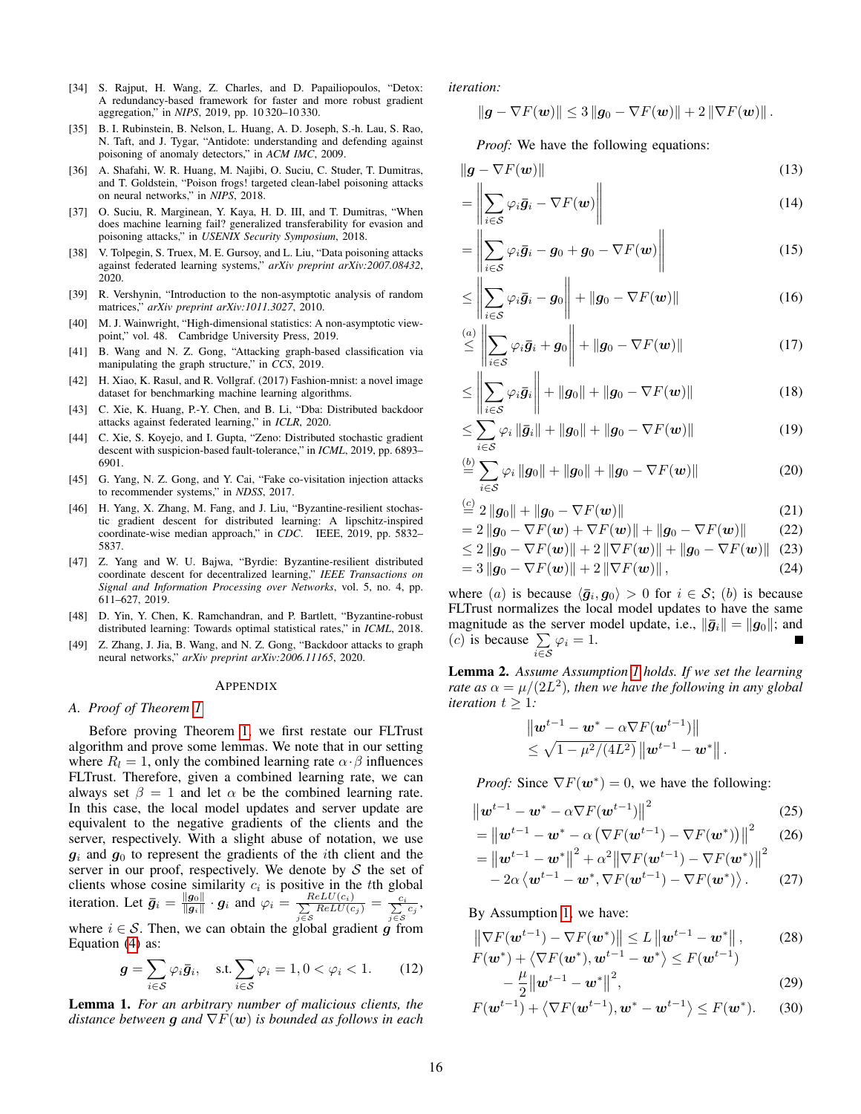- <span id="page-15-3"></span>[34] S. Rajput, H. Wang, Z. Charles, and D. Papailiopoulos, "Detox: A redundancy-based framework for faster and more robust gradient aggregation," in *NIPS*, 2019, pp. 10 320–10 330.
- <span id="page-15-6"></span>[35] B. I. Rubinstein, B. Nelson, L. Huang, A. D. Joseph, S.-h. Lau, S. Rao, N. Taft, and J. Tygar, "Antidote: understanding and defending against poisoning of anomaly detectors," in *ACM IMC*, 2009.
- <span id="page-15-8"></span>[36] A. Shafahi, W. R. Huang, M. Najibi, O. Suciu, C. Studer, T. Dumitras, and T. Goldstein, "Poison frogs! targeted clean-label poisoning attacks on neural networks," in *NIPS*, 2018.
- <span id="page-15-9"></span>[37] O. Suciu, R. Marginean, Y. Kaya, H. D. III, and T. Dumitras, "When does machine learning fail? generalized transferability for evasion and poisoning attacks," in *USENIX Security Symposium*, 2018.
- <span id="page-15-12"></span>[38] V. Tolpegin, S. Truex, M. E. Gursoy, and L. Liu, "Data poisoning attacks against federated learning systems," *arXiv preprint arXiv:2007.08432*, 2020.
- <span id="page-15-19"></span>[39] R. Vershynin, "Introduction to the non-asymptotic analysis of random matrices," *arXiv preprint arXiv:1011.3027*, 2010.
- <span id="page-15-20"></span>[40] M. J. Wainwright, "High-dimensional statistics: A non-asymptotic viewpoint," vol. 48. Cambridge University Press, 2019.
- <span id="page-15-10"></span>[41] B. Wang and N. Z. Gong, "Attacking graph-based classification via manipulating the graph structure," in *CCS*, 2019.
- <span id="page-15-14"></span>[42] H. Xiao, K. Rasul, and R. Vollgraf. (2017) Fashion-mnist: a novel image dataset for benchmarking machine learning algorithms.
- <span id="page-15-0"></span>[43] C. Xie, K. Huang, P.-Y. Chen, and B. Li, "Dba: Distributed backdoor attacks against federated learning," in *ICLR*, 2020.
- <span id="page-15-4"></span>[44] C. Xie, S. Koyejo, and I. Gupta, "Zeno: Distributed stochastic gradient descent with suspicion-based fault-tolerance," in *ICML*, 2019, pp. 6893– 6901.
- <span id="page-15-7"></span>[45] G. Yang, N. Z. Gong, and Y. Cai, "Fake co-visitation injection attacks to recommender systems," in *NDSS*, 2017.
- <span id="page-15-2"></span>[46] H. Yang, X. Zhang, M. Fang, and J. Liu, "Byzantine-resilient stochastic gradient descent for distributed learning: A lipschitz-inspired coordinate-wise median approach," in *CDC*. IEEE, 2019, pp. 5832– 5837.
- <span id="page-15-5"></span>[47] Z. Yang and W. U. Bajwa, "Byrdie: Byzantine-resilient distributed coordinate descent for decentralized learning," *IEEE Transactions on Signal and Information Processing over Networks*, vol. 5, no. 4, pp. 611–627, 2019.
- <span id="page-15-1"></span>[48] D. Yin, Y. Chen, K. Ramchandran, and P. Bartlett, "Byzantine-robust distributed learning: Towards optimal statistical rates," in *ICML*, 2018.
- <span id="page-15-11"></span>[49] Z. Zhang, J. Jia, B. Wang, and N. Z. Gong, "Backdoor attacks to graph neural networks," *arXiv preprint arXiv:2006.11165*, 2020.

#### APPENDIX

### <span id="page-15-13"></span>*A. Proof of Theorem [1](#page-6-5)*

Before proving Theorem [1,](#page-6-5) we first restate our FLTrust algorithm and prove some lemmas. We note that in our setting where  $R_l = 1$ , only the combined learning rate  $\alpha \cdot \beta$  influences FLTrust. Therefore, given a combined learning rate, we can always set  $\beta = 1$  and let  $\alpha$  be the combined learning rate. In this case, the local model updates and server update are equivalent to the negative gradients of the clients and the server, respectively. With a slight abuse of notation, we use  $g_i$  and  $g_0$  to represent the gradients of the *i*th client and the server in our proof, respectively. We denote by  $S$  the set of clients whose cosine similarity  $c_i$  is positive in the tth global iteration. Let  $\bar{g}_i = \frac{\|g_0\|}{\|g_i\|}$  $\frac{\|g_0\|}{\|g_i\|} \cdot g_i$  and  $\varphi_i = \frac{ReLU(c_i)}{\sum ReLU(c_i)}$  $\frac{ReLU(c_i)}{\sum\limits_{j \in S} ReLU(c_j)} = \frac{c_i}{\sum\limits_{j \in S} c_j},$ where  $i \in S$ . Then, we can obtain the global gradient g from Equation [\(4\)](#page-5-2) as:

$$
\mathbf{g} = \sum_{i \in \mathcal{S}} \varphi_i \bar{\mathbf{g}}_i, \quad \text{s.t.} \sum_{i \in \mathcal{S}} \varphi_i = 1, 0 < \varphi_i < 1. \tag{12}
$$

<span id="page-15-21"></span>Lemma 1. *For an arbitrary number of malicious clients, the distance between* g *and* ∇F(w) *is bounded as follows in each*

*iteration:*

$$
\|\boldsymbol{g} - \nabla F(\boldsymbol{w})\| \leq 3 \|\boldsymbol{g}_0 - \nabla F(\boldsymbol{w})\| + 2 \|\nabla F(\boldsymbol{w})\|.
$$

*Proof:* We have the following equations:

$$
\|\boldsymbol{g} - \nabla F(\boldsymbol{w})\| \tag{13}
$$

$$
= \left\| \sum_{i \in S} \varphi_i \bar{g}_i - \nabla F(w) \right\| \tag{14}
$$

$$
= \left\| \sum_{i \in S} \varphi_i \overline{\boldsymbol{g}}_i - \boldsymbol{g}_0 + \boldsymbol{g}_0 - \nabla F(\boldsymbol{w}) \right\| \tag{15}
$$

$$
\leq \left\| \sum_{i \in S} \varphi_i \bar{\bm{g}}_i - \bm{g}_0 \right\| + \|\bm{g}_0 - \nabla F(\bm{w})\| \tag{16}
$$

$$
\stackrel{(a)}{\leq} \left\| \sum_{i \in \mathcal{S}} \varphi_i \bar{g}_i + g_0 \right\| + \left\| g_0 - \nabla F(\boldsymbol{w}) \right\| \tag{17}
$$

$$
\leq \left\| \sum_{i \in S} \varphi_i \bar{g}_i \right\| + \|g_0\| + \|g_0 - \nabla F(\boldsymbol{w})\| \tag{18}
$$

$$
\leq \sum_{i \in \mathcal{S}} \varphi_i \left\| \bar{\boldsymbol{g}}_i \right\| + \left\| \boldsymbol{g}_0 \right\| + \left\| \boldsymbol{g}_0 - \nabla F(\boldsymbol{w}) \right\| \tag{19}
$$

$$
\stackrel{(b)}{=} \sum_{i \in S} \varphi_i \|g_0\| + \|g_0\| + \|g_0 - \nabla F(\boldsymbol{w})\|
$$
 (20)

$$
\stackrel{\text{(c)}}{=} 2\|g_0\| + \|g_0 - \nabla F(\boldsymbol{w})\| \tag{21}
$$

$$
=2\left\|\mathbf{g}_0-\nabla F(\mathbf{w})+\nabla F(\mathbf{w})\right\|+\left\|\mathbf{g}_0-\nabla F(\mathbf{w})\right\|
$$
 (22)

$$
\leq 2 \|g_0 - \nabla F(\boldsymbol{w})\| + 2 \|\nabla F(\boldsymbol{w})\| + \|g_0 - \nabla F(\boldsymbol{w})\| \tag{23} = 3 \|g_0 - \nabla F(\boldsymbol{w})\| + 2 \|\nabla F(\boldsymbol{w})\|, \tag{24}
$$

where (a) is because  $\langle \bar{g}_i, g_0 \rangle > 0$  for  $i \in S$ ; (b) is because FLTrust normalizes the local model updates to have the same magnitude as the server model update, i.e.,  $\|\bar{g}_i\| = \|g_0\|$ ; and  $(c)$  is because  $\sum$  $\sum_{i\in\mathcal{S}}\varphi_i=1.$ 

<span id="page-15-22"></span>Lemma 2. *Assume Assumption [1](#page-6-1) holds. If we set the learning rate as*  $\alpha = \mu/(2L^2)$ , then we have the following in any global *iteration*  $t \geq 1$ *:* 

$$
\| \boldsymbol{w}^{t-1} - \boldsymbol{w}^* - \alpha \nabla F(\boldsymbol{w}^{t-1}) \| \leq \sqrt{1 - \mu^2/(4L^2)} \| \boldsymbol{w}^{t-1} - \boldsymbol{w}^* \|.
$$

*Proof:* Since  $\nabla F(\mathbf{w}^*) = 0$ , we have the following:

$$
\left\| \boldsymbol{w}^{t-1} - \boldsymbol{w}^* - \alpha \nabla F(\boldsymbol{w}^{t-1}) \right\|^2 \tag{25}
$$

$$
= ||\mathbf{w}^{t-1} - \mathbf{w}^* - \alpha (\nabla F(\mathbf{w}^{t-1}) - \nabla F(\mathbf{w}^*))||^2 \quad (26)
$$
  
=  $||\mathbf{w}^{t-1} - \mathbf{w}^*||^2 + \alpha^2 ||\nabla F(\mathbf{w}^{t-1}) - \nabla F(\mathbf{w}^*)||^2$ 

<span id="page-15-18"></span>
$$
= \left\| \boldsymbol{w}^{t-1} - \boldsymbol{w}^* \right\|^2 + \alpha^2 \left\| \nabla F(\boldsymbol{w}^{t-1}) - \nabla F(\boldsymbol{w}^*) \right\|^2 - 2\alpha \left\langle \boldsymbol{w}^{t-1} - \boldsymbol{w}^*, \nabla F(\boldsymbol{w}^{t-1}) - \nabla F(\boldsymbol{w}^*) \right\rangle.
$$
 (27)

By Assumption [1,](#page-6-1) we have:

$$
\|\nabla F(\boldsymbol{w}^{t-1}) - \nabla F(\boldsymbol{w}^*)\| \le L \|\boldsymbol{w}^{t-1} - \boldsymbol{w}^*\|, \qquad (28)
$$
  

$$
F(\boldsymbol{w}^*) + \langle \nabla F(\boldsymbol{w}^*), \boldsymbol{w}^{t-1} - \boldsymbol{w}^* \rangle \le F(\boldsymbol{w}^{t-1})
$$

<span id="page-15-17"></span><span id="page-15-16"></span><span id="page-15-15"></span>
$$
-\frac{\mu}{2}||\boldsymbol{w}^{t-1}-\boldsymbol{w}^*||^2, \qquad (29)
$$

$$
F(\boldsymbol{w}^{t-1}) + \left\langle \nabla F(\boldsymbol{w}^{t-1}), \boldsymbol{w}^* - \boldsymbol{w}^{t-1} \right\rangle \le F(\boldsymbol{w}^*). \tag{30}
$$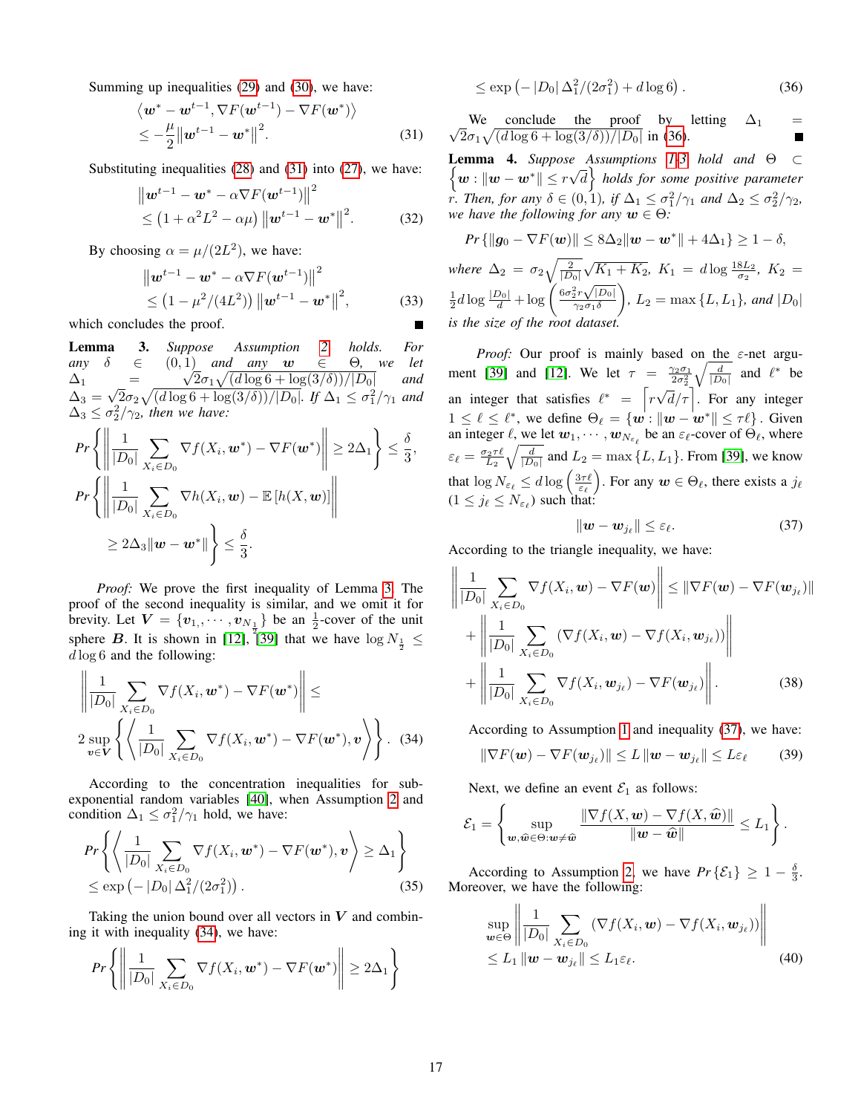Summing up inequalities [\(29\)](#page-15-15) and [\(30\)](#page-15-16), we have:

$$
\langle \boldsymbol{w}^* - \boldsymbol{w}^{t-1}, \nabla F(\boldsymbol{w}^{t-1}) - \nabla F(\boldsymbol{w}^*) \rangle
$$
  
 
$$
\leq -\frac{\mu}{2} || \boldsymbol{w}^{t-1} - \boldsymbol{w}^* ||^2.
$$
 (31)

Substituting inequalities [\(28\)](#page-15-17) and [\(31\)](#page-16-0) into [\(27\)](#page-15-18), we have:

$$
\|\boldsymbol{w}^{t-1} - \boldsymbol{w}^* - \alpha \nabla F(\boldsymbol{w}^{t-1})\|^2
$$
  
\$\leq (1 + \alpha^2 L^2 - \alpha \mu) \|\boldsymbol{w}^{t-1} - \boldsymbol{w}^\*\|^2\$. (32)

By choosing  $\alpha = \mu/(2L^2)$ , we have:

$$
\|\mathbf{w}^{t-1} - \mathbf{w}^* - \alpha \nabla F(\mathbf{w}^{t-1})\|^2
$$
  
\$\leq (1 - \mu^2/(4L^2)) \|\mathbf{w}^{t-1} - \mathbf{w}^\*\|^2\$, (33)

which concludes the proof.

<span id="page-16-1"></span>Lemma 3. *Suppose Assumption [2](#page-6-6) holds. For any*  $\delta \in (0,1)$  *and any*  $w \in \Theta$ , we let  $\Delta_1$  =  $\mathbf{I}_{i}$  $\sqrt{2\sigma_1\sqrt{(d\log 6+ \log(3/\delta))/|D_0|}}$  *and*  $\Delta_3 =$ √  $\sqrt{2}\sigma_2\sqrt{\left(d\log 6+\log(3/\delta)\right)}/|D_0|$ *. If*  $\Delta_1 \leq \sigma_1^2/\gamma_1$  and  $\Delta_3 \leq \sigma_2^2/\gamma_2$ , then we have:

$$
Pr\left\{ \left\| \frac{1}{|D_0|} \sum_{X_i \in D_0} \nabla f(X_i, \boldsymbol{w}^*) - \nabla F(\boldsymbol{w}^*) \right\| \ge 2\Delta_1 \right\} \le \frac{\delta}{3},
$$
  
\n
$$
Pr\left\{ \left\| \frac{1}{|D_0|} \sum_{X_i \in D_0} \nabla h(X_i, \boldsymbol{w}) - \mathbb{E}\left[ h(X, \boldsymbol{w}) \right] \right\|
$$
  
\n
$$
\ge 2\Delta_3 \|\boldsymbol{w} - \boldsymbol{w}^*\| \right\} \le \frac{\delta}{3}.
$$

*Proof:* We prove the first inequality of Lemma [3.](#page-16-1) The proof of the second inequality is similar, and we omit it for brevity. Let  $V = \{v_1, \dots, v_{N_{\frac{1}{n}}}\}\$  be an  $\frac{1}{2}$ -cover of the unit sphere B. It is shown in [\[12\]](#page-14-11), [\[39\]](#page-15-19) that we have  $\log N_{\frac{1}{2}} \leq$  $d \log 6$  and the following:

$$
\left\| \frac{1}{|D_0|} \sum_{X_i \in D_0} \nabla f(X_i, \boldsymbol{w}^*) - \nabla F(\boldsymbol{w}^*) \right\| \le
$$
\n
$$
2 \sup_{\boldsymbol{v} \in \boldsymbol{V}} \left\{ \left\langle \frac{1}{|D_0|} \sum_{X_i \in D_0} \nabla f(X_i, \boldsymbol{w}^*) - \nabla F(\boldsymbol{w}^*), \boldsymbol{v} \right\rangle \right\}. \quad (34)
$$

According to the concentration inequalities for subexponential random variables [\[40\]](#page-15-20), when Assumption [2](#page-6-6) and condition  $\Delta_1 \leq \sigma_1^2/\gamma_1$  hold, we have:

$$
Pr\left\{ \left\langle \frac{1}{|D_0|} \sum_{X_i \in D_0} \nabla f(X_i, \boldsymbol{w}^*) - \nabla F(\boldsymbol{w}^*), \boldsymbol{v} \right\rangle \geq \Delta_1 \right\}
$$
  
\$\leq \exp(-|D\_0| \Delta\_1^2/(2\sigma\_1^2))\$. (35)

Taking the union bound over all vectors in  $V$  and combining it with inequality [\(34\)](#page-16-2), we have:

$$
Pr\left\{ \left\| \frac{1}{|D_0|} \sum_{X_i \in D_0} \nabla f(X_i, \boldsymbol{w}^*) - \nabla F(\boldsymbol{w}^*) \right\| \geq 2\Delta_1 \right\}
$$

<span id="page-16-3"></span>
$$
\leq \exp(-|D_0| \Delta_1^2/(2\sigma_1^2) + d \log 6). \tag{36}
$$

<span id="page-16-0"></span>√ We conclude the proof by letting  $\Delta_1$  =  $\sqrt{2}\sigma_1\sqrt{\frac{d\log 6 + \log(3/\delta))}{|D_0|}}$  in [\(36\)](#page-16-3).

<span id="page-16-5"></span>Lemma 4. *Suppose Assumptions [1](#page-6-1)[-3](#page-6-2) hold and* Θ ⊂ **Lemma** 4. suppose<br> $\begin{cases} w : ||w - w^*|| \leq r \sqrt{2} \end{cases}$  $\overline{d}$  *holds for some positive parameter r*. Then, for any  $\delta \in (0, 1)$ , if  $\Delta_1 \leq \frac{\sigma_1^2}{\gamma_1}$  and  $\Delta_2 \leq \frac{\sigma_2^2}{\gamma_2}$ , *we have the following for any*  $w \in \Theta$ *:* 

$$
Pr\left\{\|\mathbf{g}_0 - \nabla F(\mathbf{w})\| \le 8\Delta_2 \|\mathbf{w} - \mathbf{w}^*\| + 4\Delta_1\right\} \ge 1 - \delta,
$$
  
where  $\Delta_2 = \sigma_2 \sqrt{\frac{2}{|D_0|}} \sqrt{K_1 + K_2}$ ,  $K_1 = d \log \frac{18L_2}{\sigma_2}$ ,  $K_2 = \frac{1}{2}d \log \frac{|D_0|}{d} + \log \left(\frac{6\sigma_2^2 r \sqrt{|D_0|}}{\gamma_2 \sigma_1 \delta}\right)$ ,  $L_2 = \max\{L, L_1\}$ , and  $|D_0|$   
is the size of the root dataset.

*Proof:* Our proof is mainly based on the ε-net argu-ment [\[39\]](#page-15-19) and [\[12\]](#page-14-11). We let  $\tau = \frac{\gamma_2 \sigma_1}{2 \sigma_2^2}$  $\sqrt{\frac{d}{|D_0|}}$  and  $\ell^*$  be an integer that satisfies  $\ell^* = \lceil r \sqrt{d}/\tau \rceil$ . For any integer √  $1 \leq \ell \leq \ell^*$ , we define  $\Theta_{\ell} = \{w : ||w - w^*|| \leq \tau \ell\}$ . Given an integer  $\ell$ , we let  $w_1, \dots, w_{N_{\varepsilon_\ell}}$  be an  $\varepsilon_\ell$ -cover of  $\Theta_\ell$ , where  $\varepsilon_{\ell} = \frac{\sigma_2 \tau \ell}{L_2} \sqrt{\frac{d}{|D_0|}}$  and  $L_2 = \max\{L, L_1\}$ . From [\[39\]](#page-15-19), we know that  $\log N_{\varepsilon_\ell} \leq d \log \left( \frac{3\tau \ell}{\varepsilon_\ell} \right)$ . For any  $\bm{w} \in \Theta_\ell$ , there exists a  $j_\ell$  $(1 \le j_\ell \le N_{\varepsilon_\ell})$  such that:

<span id="page-16-4"></span>
$$
\|\boldsymbol{w}-\boldsymbol{w}_{j_{\ell}}\|\leq\varepsilon_{\ell}.\tag{37}
$$

According to the triangle inequality, we have:

$$
\left\| \frac{1}{|D_0|} \sum_{X_i \in D_0} \nabla f(X_i, \boldsymbol{w}) - \nabla F(\boldsymbol{w}) \right\| \leq \left\| \nabla F(\boldsymbol{w}) - \nabla F(\boldsymbol{w}_{j_\ell}) \right\|
$$
  
+ 
$$
\left\| \frac{1}{|D_0|} \sum_{X_i \in D_0} \left( \nabla f(X_i, \boldsymbol{w}) - \nabla f(X_i, \boldsymbol{w}_{j_\ell}) \right) \right\|
$$
  
+ 
$$
\left\| \frac{1}{|D_0|} \sum_{X_i \in D_0} \nabla f(X_i, \boldsymbol{w}_{j_\ell}) - \nabla F(\boldsymbol{w}_{j_\ell}) \right\|. \tag{38}
$$

<span id="page-16-2"></span>According to Assumption [1](#page-6-1) and inequality [\(37\)](#page-16-4), we have:

$$
\|\nabla F(\boldsymbol{w}) - \nabla F(\boldsymbol{w}_{j\ell})\| \leq L \|\boldsymbol{w} - \boldsymbol{w}_{j\ell}\| \leq L\varepsilon_{\ell} \qquad (39)
$$

Next, we define an event  $\mathcal{E}_1$  as follows:

$$
\mathcal{E}_1 = \left\{\sup_{\boldsymbol{w},\widehat{\boldsymbol{w}}\in\Theta:\boldsymbol{w}\neq\widehat{\boldsymbol{w}}} \frac{\|\nabla f(X,\boldsymbol{w}) - \nabla f(X,\widehat{\boldsymbol{w}})\|}{\|\boldsymbol{w}-\widehat{\boldsymbol{w}}\|} \leq L_1\right\}.
$$

According to Assumption [2,](#page-6-6) we have  $Pr\{\mathcal{E}_1\} \geq 1 - \frac{\delta}{3}$ . Moreover, we have the following:

$$
\sup_{\boldsymbol{w}\in\Theta} \left\| \frac{1}{|D_0|} \sum_{X_i \in D_0} \left( \nabla f(X_i, \boldsymbol{w}) - \nabla f(X_i, \boldsymbol{w}_{j_\ell}) \right) \right\|
$$
  
  $\leq L_1 \| \boldsymbol{w} - \boldsymbol{w}_{j_\ell} \| \leq L_1 \varepsilon_\ell.$  (40)